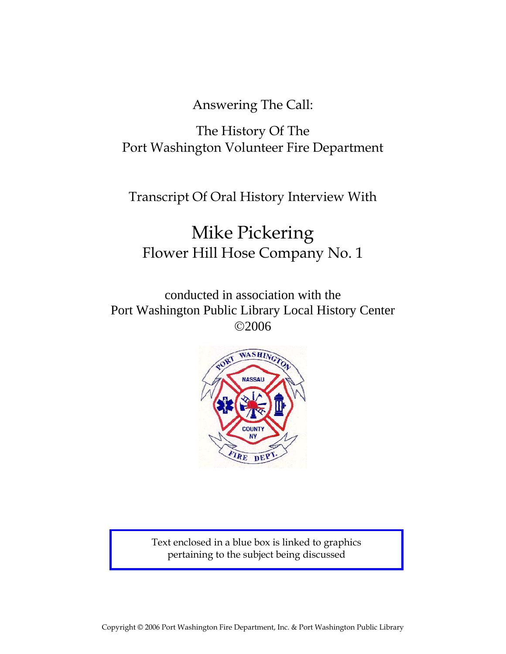Answering The Call:

## The History Of The Port Washington Volunteer Fire Department

Transcript Of Oral History Interview With

# Mike Pickering Flower Hill Hose Company No. 1

conducted in association with the Port Washington Public Library Local History Center ©2006



Text enclosed in a blue box is linked to graphics pertaining to the subject being discussed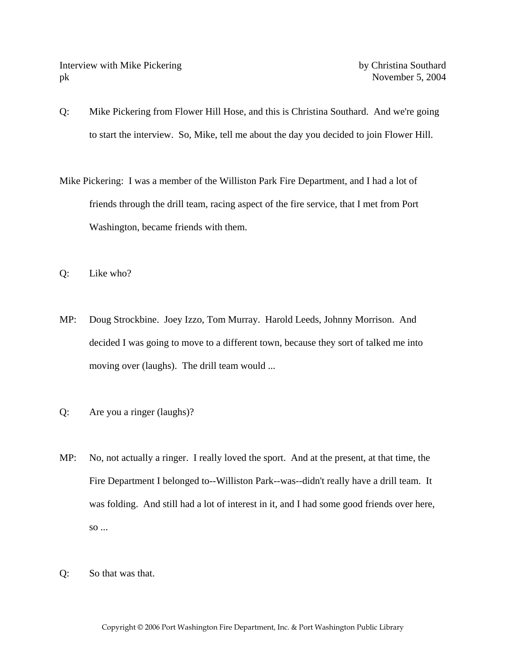Interview with Mike Pickering by Christina Southard pk November 5, 2004

- Q: Mike Pickering from Flower Hill Hose, and this is Christina Southard. And we're going to start the interview. So, Mike, tell me about the day you decided to join Flower Hill.
- Mike Pickering: I was a member of the Williston Park Fire Department, and I had a lot of friends through the drill team, racing aspect of the fire service, that I met from Port Washington, became friends with them.
- Q: Like who?
- MP: Doug Strockbine. Joey Izzo, Tom Murray. Harold Leeds, Johnny Morrison. And decided I was going to move to a different town, because they sort of talked me into moving over (laughs). The drill team would ...
- Q: Are you a ringer (laughs)?
- MP: No, not actually a ringer. I really loved the sport. And at the present, at that time, the Fire Department I belonged to--Williston Park--was--didn't really have a drill team. It was folding. And still had a lot of interest in it, and I had some good friends over here, so ...
- Q: So that was that.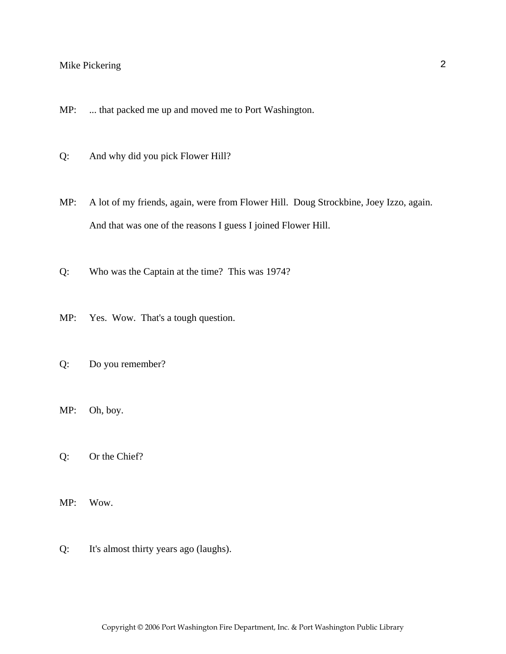- MP: ... that packed me up and moved me to Port Washington.
- Q: And why did you pick Flower Hill?
- MP: A lot of my friends, again, were from Flower Hill. Doug Strockbine, Joey Izzo, again. And that was one of the reasons I guess I joined Flower Hill.
- Q: Who was the Captain at the time? This was 1974?
- MP: Yes. Wow. That's a tough question.
- Q: Do you remember?
- MP: Oh, boy.
- Q: Or the Chief?
- MP: Wow.
- Q: It's almost thirty years ago (laughs).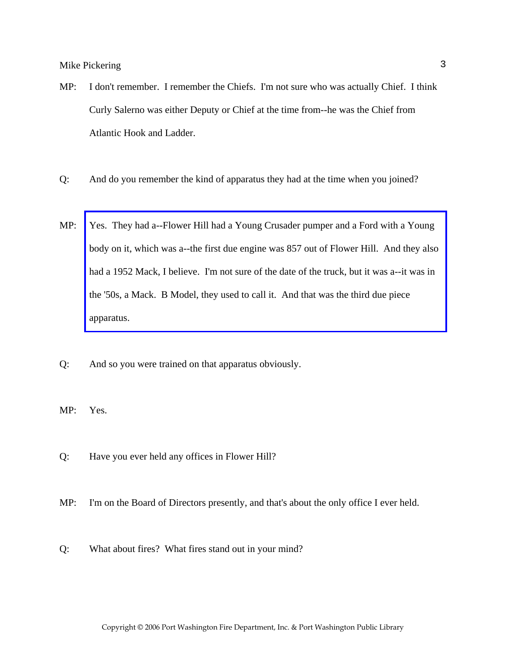- MP: I don't remember. I remember the Chiefs. I'm not sure who was actually Chief. I think Curly Salerno was either Deputy or Chief at the time from--he was the Chief from Atlantic Hook and Ladder.
- Q: And do you remember the kind of apparatus they had at the time when you joined?
- MP: Yes. They had a--Flower Hill had a Young Crusader pumper and a Ford with a Young [body on it, which was a--the first due engine was 857 out of Flower Hill. And they also](http://www.pwfdhistory.com/trans/pickeringm_trans/fhh_truck003_web.jpg)  had a 1952 Mack, I believe. I'm not sure of the date of the truck, but it was a--it was in the '50s, a Mack. B Model, they used to call it. And that was the third due piece apparatus.
- Q: And so you were trained on that apparatus obviously.

MP: Yes.

- Q: Have you ever held any offices in Flower Hill?
- MP: I'm on the Board of Directors presently, and that's about the only office I ever held.
- Q: What about fires? What fires stand out in your mind?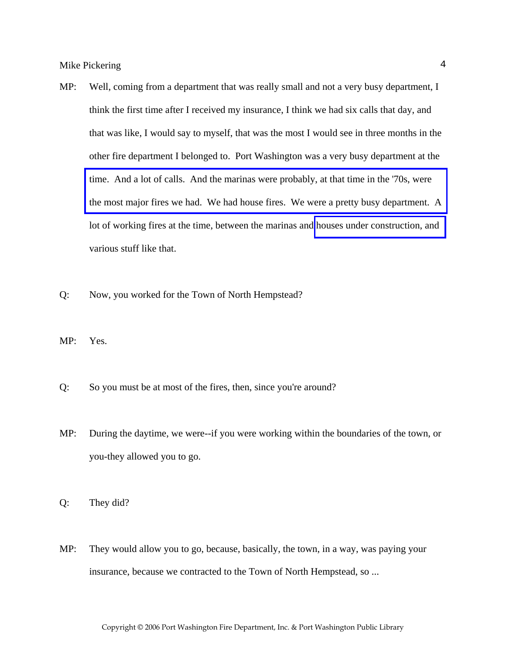- MP: Well, coming from a department that was really small and not a very busy department, I think the first time after I received my insurance, I think we had six calls that day, and that was like, I would say to myself, that was the most I would see in three months in the other fire department I belonged to. Port Washington was a very busy department at the time. And a lot of calls. And the marinas were probably, at that time in the '70s, were [the most major fires we had. We had house fires. We were a pretty busy department. A](http://www.pwfdhistory.com/trans/pickeringm_trans/news_cocks_boatyardsx.pdf)  lot of working fires at the time, between the marinas and [houses under construction, and](http://www.pwfdhistory.com/trans/pickeringm_trans/fhh_fires006_web.jpg)  various stuff like that.
- Q: Now, you worked for the Town of North Hempstead?
- MP: Yes.
- Q: So you must be at most of the fires, then, since you're around?
- MP: During the daytime, we were--if you were working within the boundaries of the town, or you-they allowed you to go.
- Q: They did?
- MP: They would allow you to go, because, basically, the town, in a way, was paying your insurance, because we contracted to the Town of North Hempstead, so ...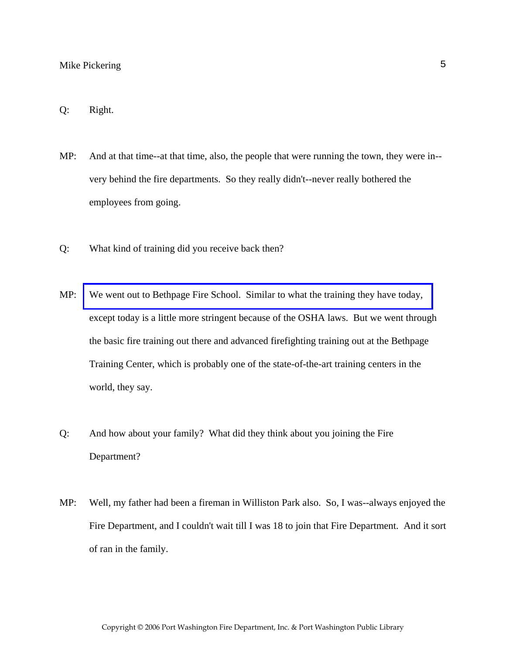#### Q: Right.

- MP: And at that time--at that time, also, the people that were running the town, they were in- very behind the fire departments. So they really didn't--never really bothered the employees from going.
- Q: What kind of training did you receive back then?
- MP: [We went out to Bethpage Fire School. Similar to what the training they have today,](http://www.veebfsa.org)  except today is a little more stringent because of the OSHA laws. But we went through the basic fire training out there and advanced firefighting training out at the Bethpage Training Center, which is probably one of the state-of-the-art training centers in the world, they say.
- Q: And how about your family? What did they think about you joining the Fire Department?
- MP: Well, my father had been a fireman in Williston Park also. So, I was--always enjoyed the Fire Department, and I couldn't wait till I was 18 to join that Fire Department. And it sort of ran in the family.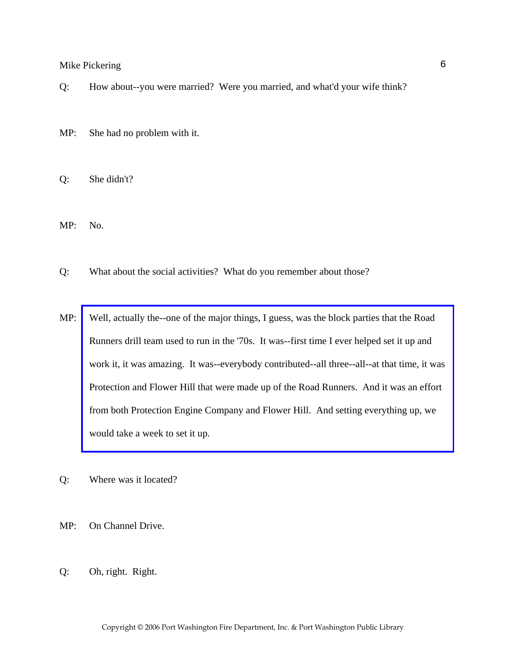- Q: How about--you were married? Were you married, and what'd your wife think?
- MP: She had no problem with it.
- Q: She didn't?
- MP: No.
- Q: What about the social activities? What do you remember about those?
- MP: Well, actually the--one of the major things, I guess, was the block parties that the Road Runners drill team used to run in the '70s. It was--first time I ever helped set it up and [work it, it was amazing. It was--everybody contributed--all three--all--at that time, it was](http://www.pwfdhistory.com/trans/pickeringm_trans/news_cocks260c.jpg)  Protection and Flower Hill that were made up of the Road Runners. And it was an effort from both Protection Engine Company and Flower Hill. And setting everything up, we would take a week to set it up.
- Q: Where was it located?
- MP: On Channel Drive.
- Q: Oh, right. Right.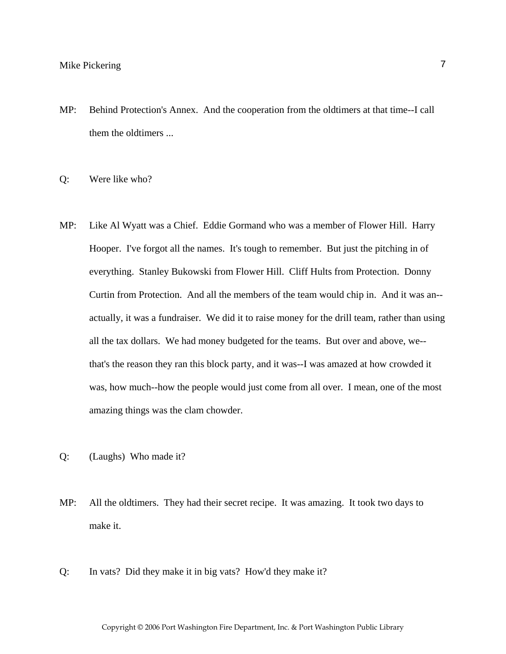MP: Behind Protection's Annex. And the cooperation from the oldtimers at that time--I call them the oldtimers ...

Q: Were like who?

- MP: Like Al Wyatt was a Chief. Eddie Gormand who was a member of Flower Hill. Harry Hooper. I've forgot all the names. It's tough to remember. But just the pitching in of everything. Stanley Bukowski from Flower Hill. Cliff Hults from Protection. Donny Curtin from Protection. And all the members of the team would chip in. And it was an- actually, it was a fundraiser. We did it to raise money for the drill team, rather than using all the tax dollars. We had money budgeted for the teams. But over and above, we- that's the reason they ran this block party, and it was--I was amazed at how crowded it was, how much--how the people would just come from all over. I mean, one of the most amazing things was the clam chowder.
- Q: (Laughs) Who made it?
- MP: All the oldtimers. They had their secret recipe. It was amazing. It took two days to make it.
- Q: In vats? Did they make it in big vats? How'd they make it?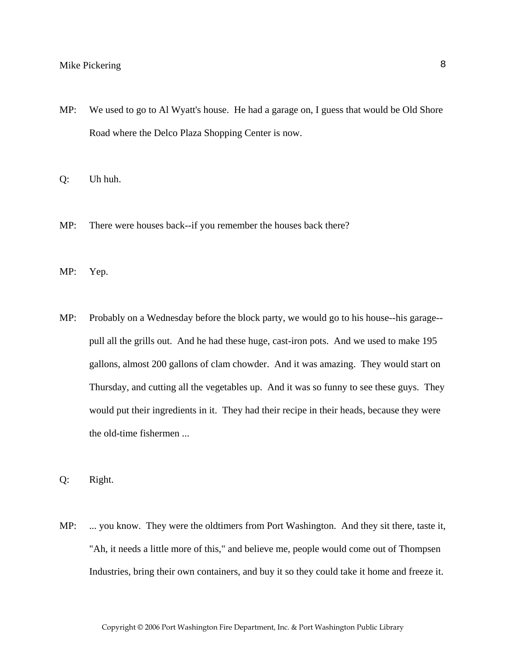MP: We used to go to Al Wyatt's house. He had a garage on, I guess that would be Old Shore Road where the Delco Plaza Shopping Center is now.

Q: Uh huh.

- MP: There were houses back--if you remember the houses back there?
- MP: Yep.
- MP: Probably on a Wednesday before the block party, we would go to his house--his garage- pull all the grills out. And he had these huge, cast-iron pots. And we used to make 195 gallons, almost 200 gallons of clam chowder. And it was amazing. They would start on Thursday, and cutting all the vegetables up. And it was so funny to see these guys. They would put their ingredients in it. They had their recipe in their heads, because they were the old-time fishermen ...

Q: Right.

MP: ... you know. They were the oldtimers from Port Washington. And they sit there, taste it, "Ah, it needs a little more of this," and believe me, people would come out of Thompsen Industries, bring their own containers, and buy it so they could take it home and freeze it.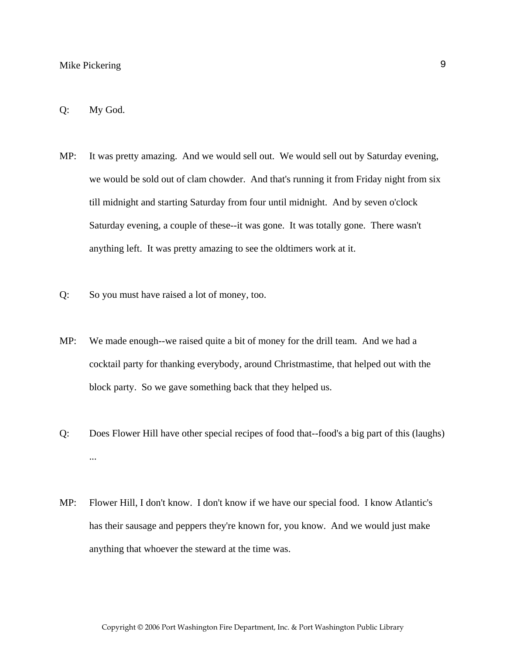#### Q: My God.

- MP: It was pretty amazing. And we would sell out. We would sell out by Saturday evening, we would be sold out of clam chowder. And that's running it from Friday night from six till midnight and starting Saturday from four until midnight. And by seven o'clock Saturday evening, a couple of these--it was gone. It was totally gone. There wasn't anything left. It was pretty amazing to see the oldtimers work at it.
- Q: So you must have raised a lot of money, too.
- MP: We made enough--we raised quite a bit of money for the drill team. And we had a cocktail party for thanking everybody, around Christmastime, that helped out with the block party. So we gave something back that they helped us.
- Q: Does Flower Hill have other special recipes of food that--food's a big part of this (laughs) ...
- MP: Flower Hill, I don't know. I don't know if we have our special food. I know Atlantic's has their sausage and peppers they're known for, you know. And we would just make anything that whoever the steward at the time was.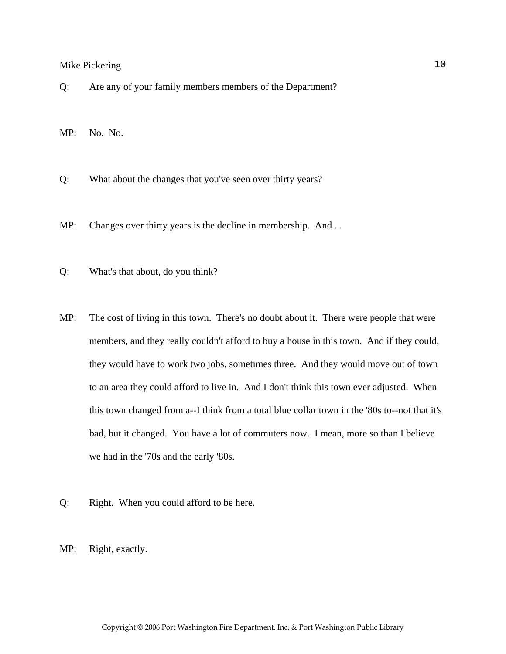Q: Are any of your family members members of the Department?

MP: No. No.

Q: What about the changes that you've seen over thirty years?

MP: Changes over thirty years is the decline in membership. And ...

- Q: What's that about, do you think?
- MP: The cost of living in this town. There's no doubt about it. There were people that were members, and they really couldn't afford to buy a house in this town. And if they could, they would have to work two jobs, sometimes three. And they would move out of town to an area they could afford to live in. And I don't think this town ever adjusted. When this town changed from a--I think from a total blue collar town in the '80s to--not that it's bad, but it changed. You have a lot of commuters now. I mean, more so than I believe we had in the '70s and the early '80s.
- Q: Right. When you could afford to be here.

MP: Right, exactly.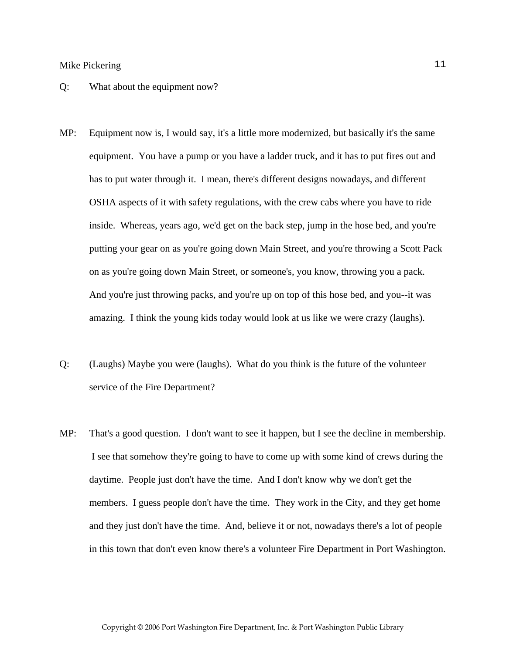#### Q: What about the equipment now?

- MP: Equipment now is, I would say, it's a little more modernized, but basically it's the same equipment. You have a pump or you have a ladder truck, and it has to put fires out and has to put water through it. I mean, there's different designs nowadays, and different OSHA aspects of it with safety regulations, with the crew cabs where you have to ride inside. Whereas, years ago, we'd get on the back step, jump in the hose bed, and you're putting your gear on as you're going down Main Street, and you're throwing a Scott Pack on as you're going down Main Street, or someone's, you know, throwing you a pack. And you're just throwing packs, and you're up on top of this hose bed, and you--it was amazing. I think the young kids today would look at us like we were crazy (laughs).
- Q: (Laughs) Maybe you were (laughs). What do you think is the future of the volunteer service of the Fire Department?
- MP: That's a good question. I don't want to see it happen, but I see the decline in membership. I see that somehow they're going to have to come up with some kind of crews during the daytime. People just don't have the time. And I don't know why we don't get the members. I guess people don't have the time. They work in the City, and they get home and they just don't have the time. And, believe it or not, nowadays there's a lot of people in this town that don't even know there's a volunteer Fire Department in Port Washington.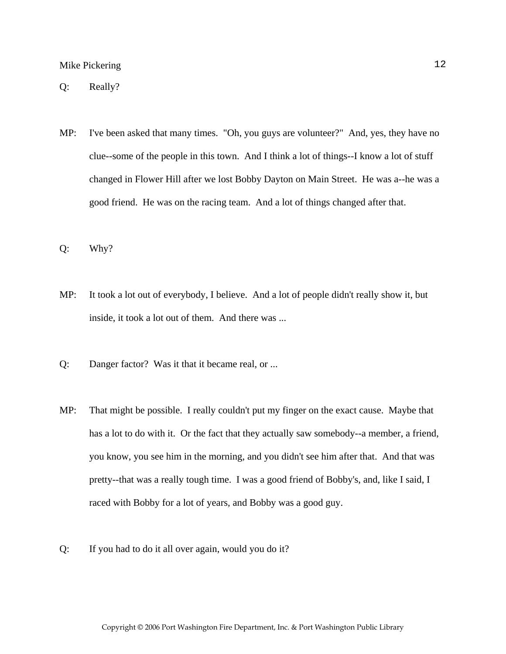Q: Really?

- MP: I've been asked that many times. "Oh, you guys are volunteer?" And, yes, they have no clue--some of the people in this town. And I think a lot of things--I know a lot of stuff changed in Flower Hill after we lost Bobby Dayton on Main Street. He was a--he was a good friend. He was on the racing team. And a lot of things changed after that.
- Q: Why?
- MP: It took a lot out of everybody, I believe. And a lot of people didn't really show it, but inside, it took a lot out of them. And there was ...
- Q: Danger factor? Was it that it became real, or ...
- MP: That might be possible. I really couldn't put my finger on the exact cause. Maybe that has a lot to do with it. Or the fact that they actually saw somebody--a member, a friend, you know, you see him in the morning, and you didn't see him after that. And that was pretty--that was a really tough time. I was a good friend of Bobby's, and, like I said, I raced with Bobby for a lot of years, and Bobby was a good guy.
- Q: If you had to do it all over again, would you do it?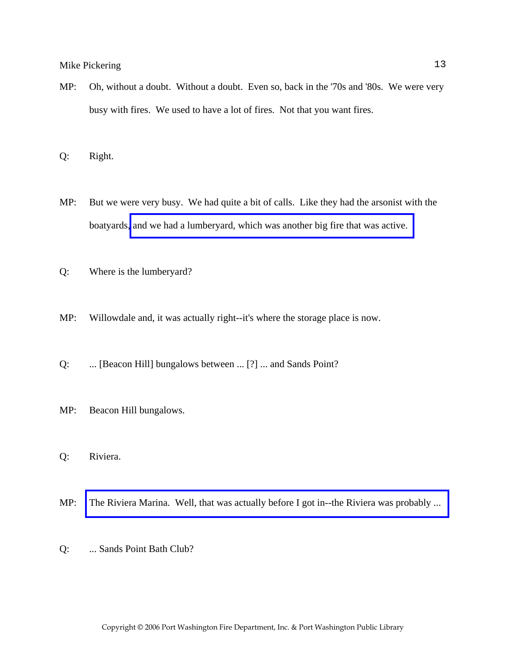MP: Oh, without a doubt. Without a doubt. Even so, back in the '70s and '80s. We were very busy with fires. We used to have a lot of fires. Not that you want fires.

Q: Right.

- MP: But we were very busy. We had quite a bit of calls. Like they had the arsonist with the boatyards, [and we had a lumberyard, which was another big fire that was active.](http://www.pwfdhistory.com/trans/pickeringm_trans/pwfd_news_lumberyd.pdf)
- Q: Where is the lumberyard?
- MP: Willowdale and, it was actually right--it's where the storage place is now.
- Q: ... [Beacon Hill] bungalows between ... [?] ... and Sands Point?
- MP: Beacon Hill bungalows.
- Q: Riviera.
- MP: [The Riviera Marina. Well, that was actually before I got in--the Riviera was probably ...](http://www.pwfdhistory.com/trans/pickeringm_trans/pwfd_fires_riviera.pdf)
- Q: ... Sands Point Bath Club?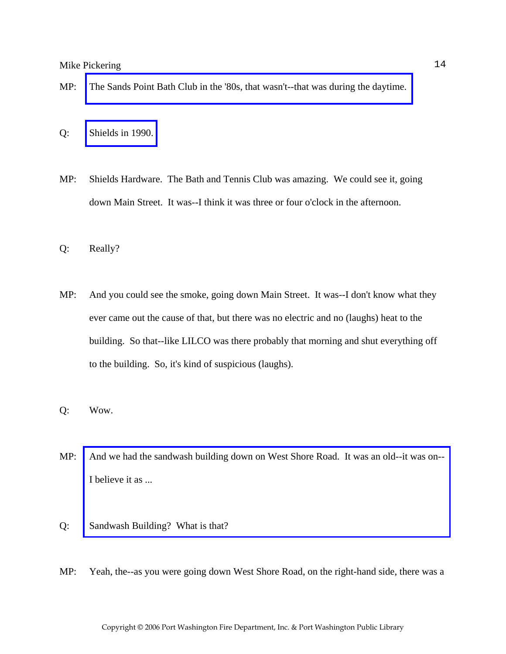- MP: [The Sands Point Bath Club in the '80s, that wasn't--that was during the daytime.](http://www.pwfdhistory.com/trans/pickeringm_trans/spbathclb_pz_web.pdf)
- Q: [Shields in 1990.](http://www.pwfdhistory.com/trans/pickeringm_trans/shieldshdw_pz.pdf)
- MP: Shields Hardware. The Bath and Tennis Club was amazing. We could see it, going down Main Street. It was--I think it was three or four o'clock in the afternoon.
- Q: Really?
- MP: And you could see the smoke, going down Main Street. It was--I don't know what they ever came out the cause of that, but there was no electric and no (laughs) heat to the building. So that--like LILCO was there probably that morning and shut everything off to the building. So, it's kind of suspicious (laughs).
- Q: Wow.
- MP: [And we had the sandwash building down on West Shore Road. It was an old--it was on--](http://www.pwfdhistory.com/trans/pickeringm_trans/sandwash.jpg) I believe it as ...
- Q: Sandwash Building? What is that?
- MP: Yeah, the--as you were going down West Shore Road, on the right-hand side, there was a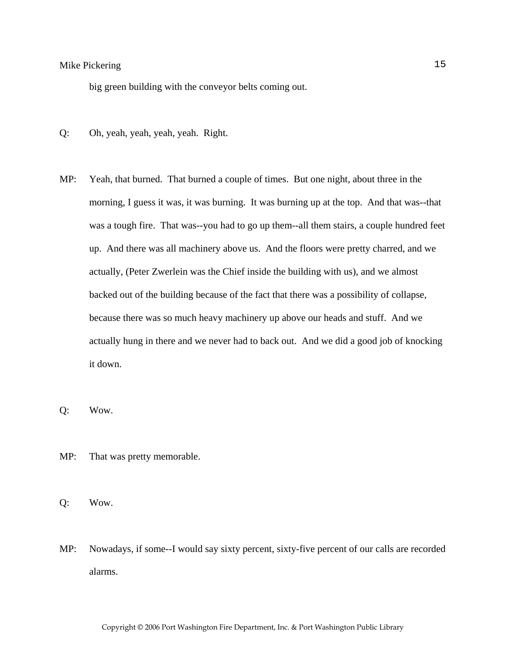big green building with the conveyor belts coming out.

- Q: Oh, yeah, yeah, yeah, yeah. Right.
- MP: Yeah, that burned. That burned a couple of times. But one night, about three in the morning, I guess it was, it was burning. It was burning up at the top. And that was--that was a tough fire. That was--you had to go up them--all them stairs, a couple hundred feet up. And there was all machinery above us. And the floors were pretty charred, and we actually, (Peter Zwerlein was the Chief inside the building with us), and we almost backed out of the building because of the fact that there was a possibility of collapse, because there was so much heavy machinery up above our heads and stuff. And we actually hung in there and we never had to back out. And we did a good job of knocking it down.
- Q: Wow.
- MP: That was pretty memorable.
- Q: Wow.
- MP: Nowadays, if some--I would say sixty percent, sixty-five percent of our calls are recorded alarms.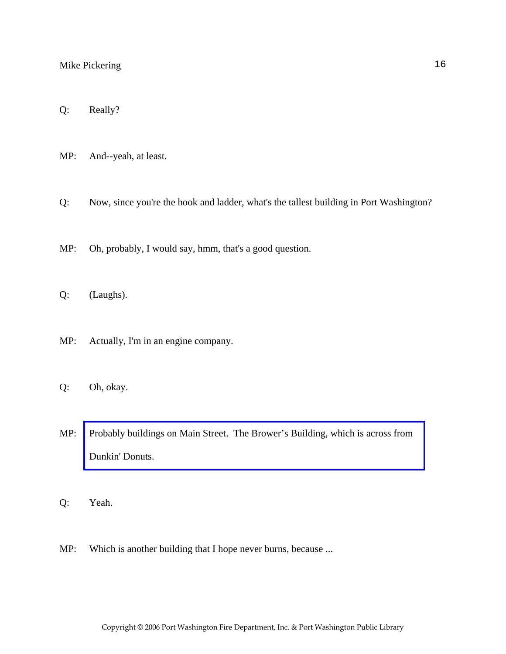Q: Really?

MP: And--yeah, at least.

Q: Now, since you're the hook and ladder, what's the tallest building in Port Washington?

MP: Oh, probably, I would say, hmm, that's a good question.

Q: (Laughs).

MP: Actually, I'm in an engine company.

Q: Oh, okay.

MP: [Probably buildings on Main Street. The Brower's Building, which is across from](http://www.pwfdhistory.com/trans/pickeringm_trans/pwfd_fires01_web.jpg)  Dunkin' Donuts.

Q: Yeah.

MP: Which is another building that I hope never burns, because ...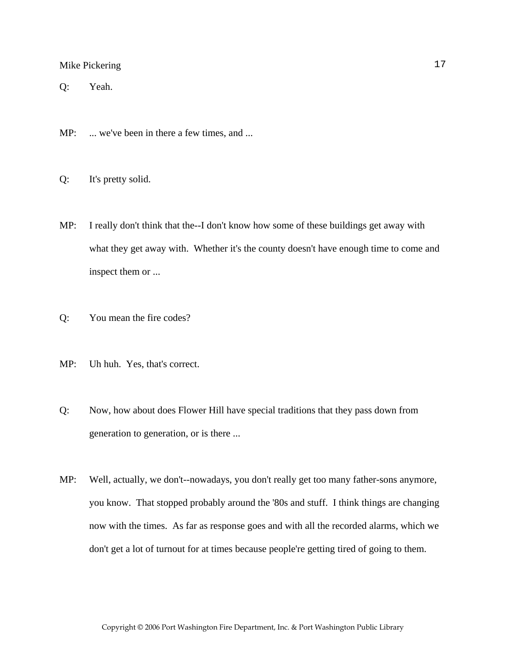Q: Yeah.

MP: ... we've been in there a few times, and ...

Q: It's pretty solid.

- MP: I really don't think that the--I don't know how some of these buildings get away with what they get away with. Whether it's the county doesn't have enough time to come and inspect them or ...
- Q: You mean the fire codes?
- MP: Uh huh. Yes, that's correct.
- Q: Now, how about does Flower Hill have special traditions that they pass down from generation to generation, or is there ...
- MP: Well, actually, we don't--nowadays, you don't really get too many father-sons anymore, you know. That stopped probably around the '80s and stuff. I think things are changing now with the times. As far as response goes and with all the recorded alarms, which we don't get a lot of turnout for at times because people're getting tired of going to them.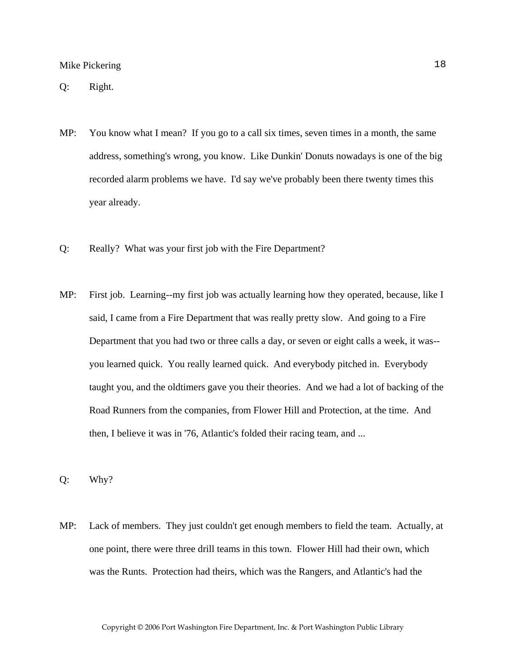- MP: You know what I mean? If you go to a call six times, seven times in a month, the same address, something's wrong, you know. Like Dunkin' Donuts nowadays is one of the big recorded alarm problems we have. I'd say we've probably been there twenty times this year already.
- Q: Really? What was your first job with the Fire Department?
- MP: First job. Learning--my first job was actually learning how they operated, because, like I said, I came from a Fire Department that was really pretty slow. And going to a Fire Department that you had two or three calls a day, or seven or eight calls a week, it was- you learned quick. You really learned quick. And everybody pitched in. Everybody taught you, and the oldtimers gave you their theories. And we had a lot of backing of the Road Runners from the companies, from Flower Hill and Protection, at the time. And then, I believe it was in '76, Atlantic's folded their racing team, and ...

Q: Why?

MP: Lack of members. They just couldn't get enough members to field the team. Actually, at one point, there were three drill teams in this town. Flower Hill had their own, which was the Runts. Protection had theirs, which was the Rangers, and Atlantic's had the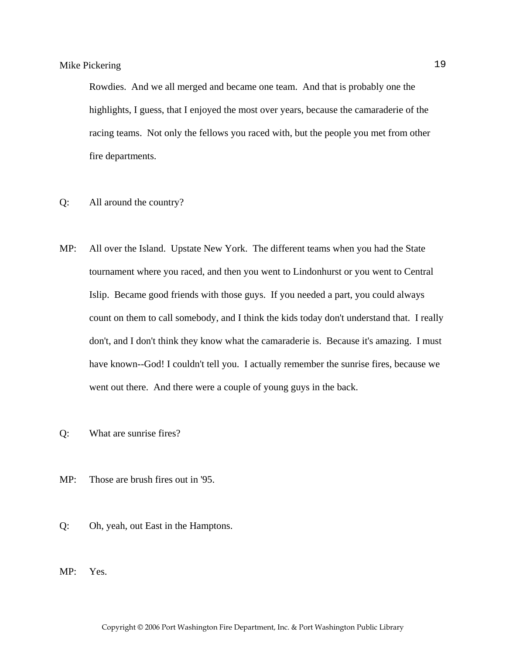Rowdies. And we all merged and became one team. And that is probably one the highlights, I guess, that I enjoyed the most over years, because the camaraderie of the racing teams. Not only the fellows you raced with, but the people you met from other fire departments.

- Q: All around the country?
- MP: All over the Island. Upstate New York. The different teams when you had the State tournament where you raced, and then you went to Lindonhurst or you went to Central Islip. Became good friends with those guys. If you needed a part, you could always count on them to call somebody, and I think the kids today don't understand that. I really don't, and I don't think they know what the camaraderie is. Because it's amazing. I must have known--God! I couldn't tell you. I actually remember the sunrise fires, because we went out there. And there were a couple of young guys in the back.
- Q: What are sunrise fires?
- MP: Those are brush fires out in '95.
- Q: Oh, yeah, out East in the Hamptons.
- MP: Yes.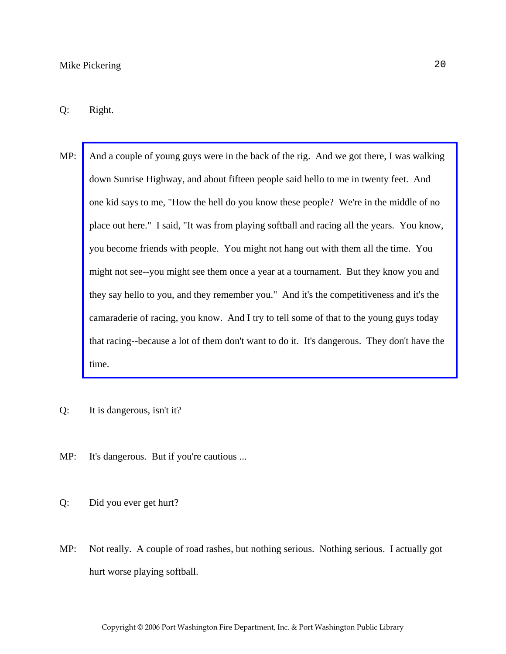- MP: [And a couple of young guys were in the back of the rig. And we got there, I was walking](http://www.pwfdhistory.com/trans/pickeringm_trans/pwfd_news_wildfires.pdf)  down Sunrise Highway, and about fifteen people said hello to me in twenty feet. And one kid says to me, "How the hell do you know these people? We're in the middle of no place out here." I said, "It was from playing softball and racing all the years. You know, you become friends with people. You might not hang out with them all the time. You might not see--you might see them once a year at a tournament. But they know you and they say hello to you, and they remember you." And it's the competitiveness and it's the camaraderie of racing, you know. And I try to tell some of that to the young guys today that racing--because a lot of them don't want to do it. It's dangerous. They don't have the time.
- Q: It is dangerous, isn't it?
- MP: It's dangerous. But if you're cautious ...
- Q: Did you ever get hurt?
- MP: Not really. A couple of road rashes, but nothing serious. Nothing serious. I actually got hurt worse playing softball.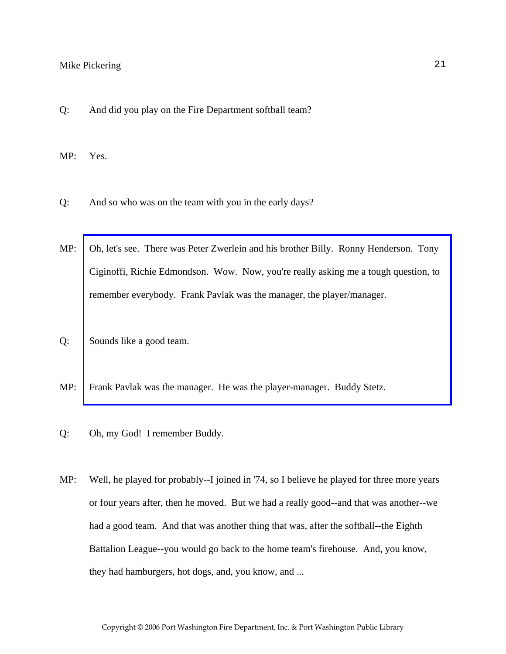Q: And did you play on the Fire Department softball team?

MP: Yes.

- Q: And so who was on the team with you in the early days?
- MP: [Oh, let's see. There was Peter Zwerlein and his brother Billy. Ronny Henderson. Tony](http://www.pwfdhistory.com/trans/pickeringm_trans/pwfd_softball006_web.jpg)  Ciginoffi, Richie Edmondson. Wow. Now, you're really asking me a tough question, to remember everybody. Frank Pavlak was the manager, the player/manager.
- Q: Sounds like a good team.
- MP: Frank Pavlak was the manager. He was the player-manager. Buddy Stetz.
- Q: Oh, my God! I remember Buddy.
- MP: Well, he played for probably--I joined in '74, so I believe he played for three more years or four years after, then he moved. But we had a really good--and that was another--we had a good team. And that was another thing that was, after the softball--the Eighth Battalion League--you would go back to the home team's firehouse. And, you know, they had hamburgers, hot dogs, and, you know, and ...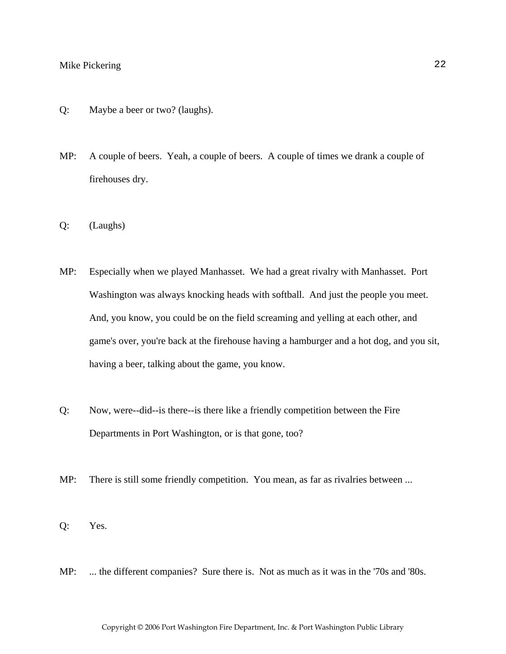- Q: Maybe a beer or two? (laughs).
- MP: A couple of beers. Yeah, a couple of beers. A couple of times we drank a couple of firehouses dry.
- Q: (Laughs)
- MP: Especially when we played Manhasset. We had a great rivalry with Manhasset. Port Washington was always knocking heads with softball. And just the people you meet. And, you know, you could be on the field screaming and yelling at each other, and game's over, you're back at the firehouse having a hamburger and a hot dog, and you sit, having a beer, talking about the game, you know.
- Q: Now, were--did--is there--is there like a friendly competition between the Fire Departments in Port Washington, or is that gone, too?
- MP: There is still some friendly competition. You mean, as far as rivalries between ...
- Q: Yes.
- MP: ... the different companies? Sure there is. Not as much as it was in the '70s and '80s.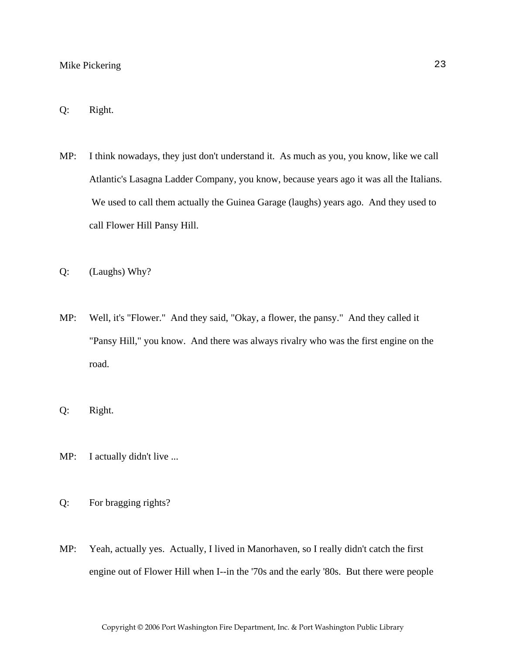#### Q: Right.

- MP: I think nowadays, they just don't understand it. As much as you, you know, like we call Atlantic's Lasagna Ladder Company, you know, because years ago it was all the Italians. We used to call them actually the Guinea Garage (laughs) years ago. And they used to call Flower Hill Pansy Hill.
- Q: (Laughs) Why?
- MP: Well, it's "Flower." And they said, "Okay, a flower, the pansy." And they called it "Pansy Hill," you know. And there was always rivalry who was the first engine on the road.
- Q: Right.
- MP: I actually didn't live ...
- Q: For bragging rights?
- MP: Yeah, actually yes. Actually, I lived in Manorhaven, so I really didn't catch the first engine out of Flower Hill when I--in the '70s and the early '80s. But there were people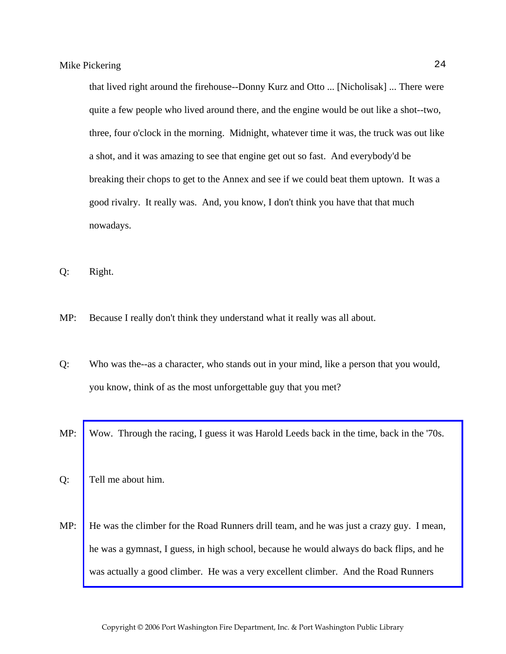that lived right around the firehouse--Donny Kurz and Otto ... [Nicholisak] ... There were quite a few people who lived around there, and the engine would be out like a shot--two, three, four o'clock in the morning. Midnight, whatever time it was, the truck was out like a shot, and it was amazing to see that engine get out so fast. And everybody'd be breaking their chops to get to the Annex and see if we could beat them uptown. It was a good rivalry. It really was. And, you know, I don't think you have that that much nowadays.

Q: Right.

MP: Because I really don't think they understand what it really was all about.

Q: Who was the--as a character, who stands out in your mind, like a person that you would, you know, think of as the most unforgettable guy that you met?

MP: Wow. Through the racing, I guess it was Harold Leeds back in the time, back in the '70s.

- Q: Tell me about him.
- MP: [He was the climber for the Road Runners drill team, and he was just a crazy guy. I mean,](http://www.pwfdhistory.com/trans/pickeringm_trans/pwfd_racing011_web.jpg)  he was a gymnast, I guess, in high school, because he would always do back flips, and he was actually a good climber. He was a very excellent climber. And the Road Runners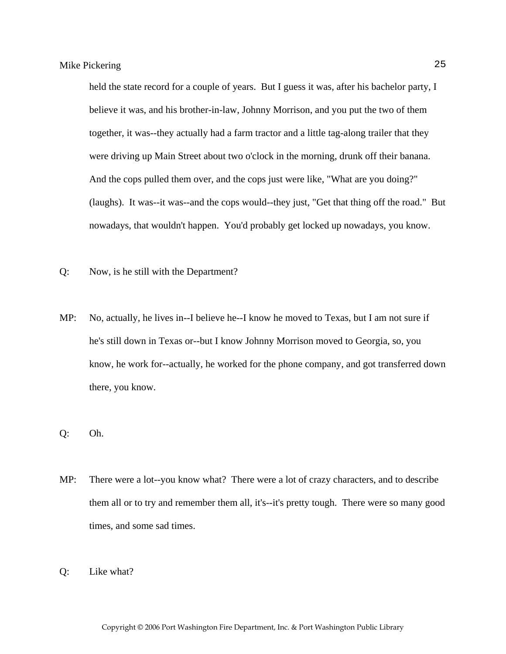held the state record for a couple of years. But I guess it was, after his bachelor party, I believe it was, and his brother-in-law, Johnny Morrison, and you put the two of them together, it was--they actually had a farm tractor and a little tag-along trailer that they were driving up Main Street about two o'clock in the morning, drunk off their banana. And the cops pulled them over, and the cops just were like, "What are you doing?" (laughs). It was--it was--and the cops would--they just, "Get that thing off the road." But nowadays, that wouldn't happen. You'd probably get locked up nowadays, you know.

- Q: Now, is he still with the Department?
- MP: No, actually, he lives in--I believe he--I know he moved to Texas, but I am not sure if he's still down in Texas or--but I know Johnny Morrison moved to Georgia, so, you know, he work for--actually, he worked for the phone company, and got transferred down there, you know.
- Q: Oh.
- MP: There were a lot--you know what? There were a lot of crazy characters, and to describe them all or to try and remember them all, it's--it's pretty tough. There were so many good times, and some sad times.
- Q: Like what?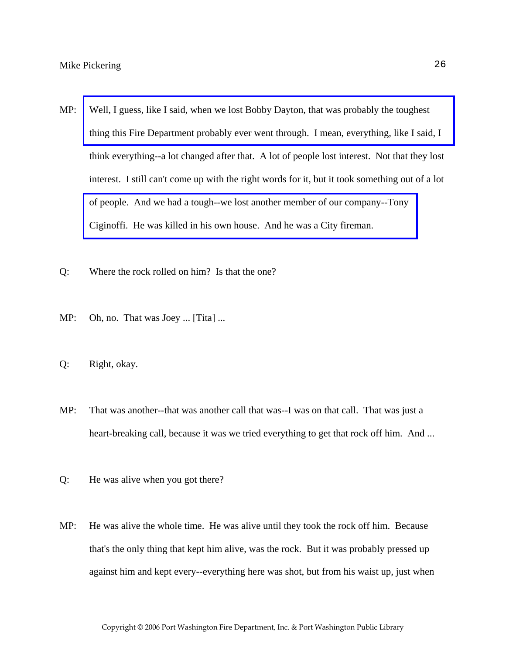- MP: Well, I guess, like I said, when we lost Bobby Dayton, that was probably the toughest [thing this Fire Department probably ever went through. I mean, everything, like I said, I](http://www.pwfdhistory.com/trans/pickeringm_trans/nday881127_pz.pdf)  think everything--a lot changed after that. A lot of people lost interest. Not that they lost interest. I still can't come up with the right words for it, but it took something out of a lot [of people. And we had a tough--we lost another member of our company--Tony](http://www.pwfdhistory.com/trans/pickeringm_trans/pnews921112_pz_web.jpg)  Ciginoffi. He was killed in his own house. And he was a City fireman.
- Q: Where the rock rolled on him? Is that the one?
- MP: Oh, no. That was Joey ... [Tita] ...
- Q: Right, okay.
- MP: That was another--that was another call that was--I was on that call. That was just a heart-breaking call, because it was we tried everything to get that rock off him. And ...
- Q: He was alive when you got there?
- MP: He was alive the whole time. He was alive until they took the rock off him. Because that's the only thing that kept him alive, was the rock. But it was probably pressed up against him and kept every--everything here was shot, but from his waist up, just when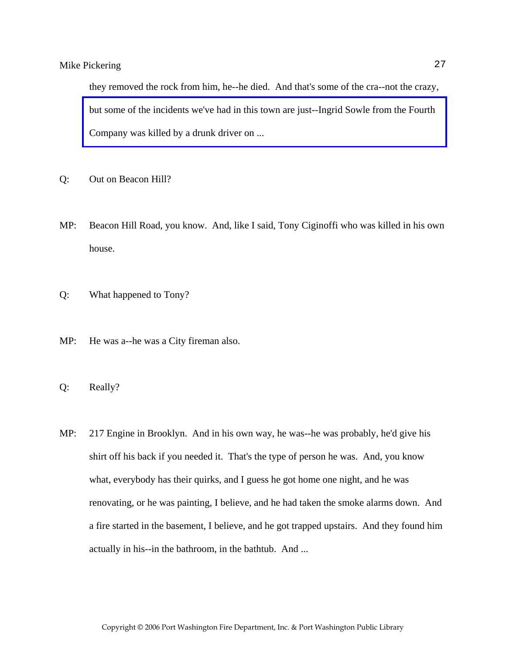they removed the rock from him, he--he died. And that's some of the cra--not the crazy, [but some of the incidents we've had in this town are just--Ingrid Sowle from the Fourth](http://www.pwfdhistory.com/trans/pickeringm_trans/sowle_pz.pdf)  Company was killed by a drunk driver on ...

- Q: Out on Beacon Hill?
- MP: Beacon Hill Road, you know. And, like I said, Tony Ciginoffi who was killed in his own house.
- Q: What happened to Tony?
- MP: He was a--he was a City fireman also.
- Q: Really?
- MP: 217 Engine in Brooklyn. And in his own way, he was--he was probably, he'd give his shirt off his back if you needed it. That's the type of person he was. And, you know what, everybody has their quirks, and I guess he got home one night, and he was renovating, or he was painting, I believe, and he had taken the smoke alarms down. And a fire started in the basement, I believe, and he got trapped upstairs. And they found him actually in his--in the bathroom, in the bathtub. And ...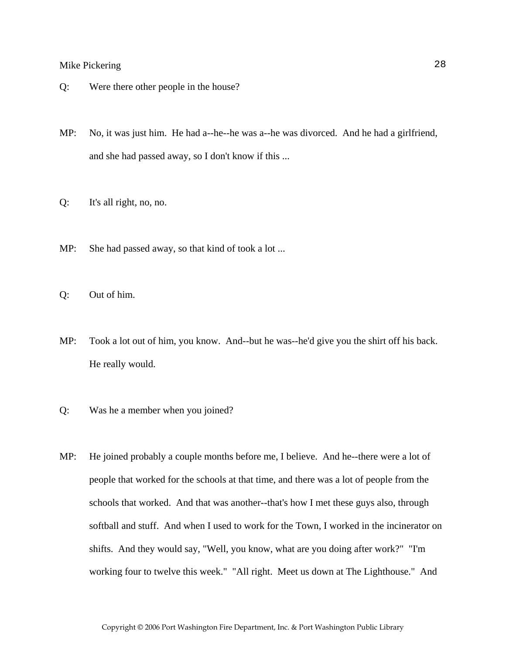- Q: Were there other people in the house?
- MP: No, it was just him. He had a--he--he was a--he was divorced. And he had a girlfriend, and she had passed away, so I don't know if this ...
- Q: It's all right, no, no.
- MP: She had passed away, so that kind of took a lot ...
- Q: Out of him.
- MP: Took a lot out of him, you know. And--but he was--he'd give you the shirt off his back. He really would.
- Q: Was he a member when you joined?
- MP: He joined probably a couple months before me, I believe. And he--there were a lot of people that worked for the schools at that time, and there was a lot of people from the schools that worked. And that was another--that's how I met these guys also, through softball and stuff. And when I used to work for the Town, I worked in the incinerator on shifts. And they would say, "Well, you know, what are you doing after work?" "I'm working four to twelve this week." "All right. Meet us down at The Lighthouse." And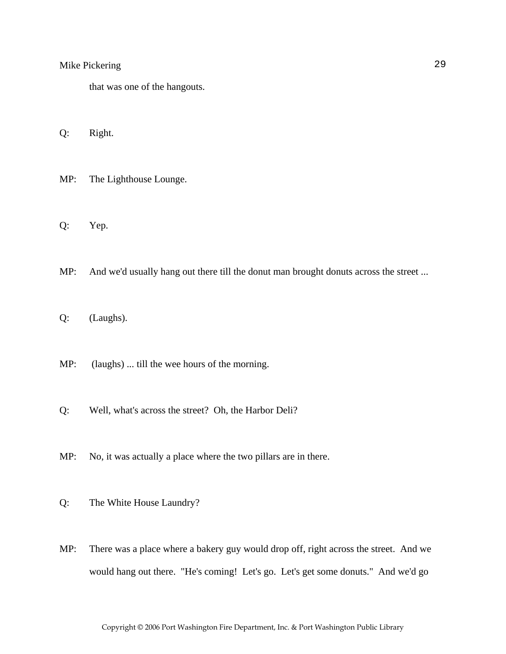that was one of the hangouts.

Q: Right.

MP: The Lighthouse Lounge.

Q: Yep.

MP: And we'd usually hang out there till the donut man brought donuts across the street ...

Q: (Laughs).

MP: (laughs) ... till the wee hours of the morning.

Q: Well, what's across the street? Oh, the Harbor Deli?

MP: No, it was actually a place where the two pillars are in there.

Q: The White House Laundry?

MP: There was a place where a bakery guy would drop off, right across the street. And we would hang out there. "He's coming! Let's go. Let's get some donuts." And we'd go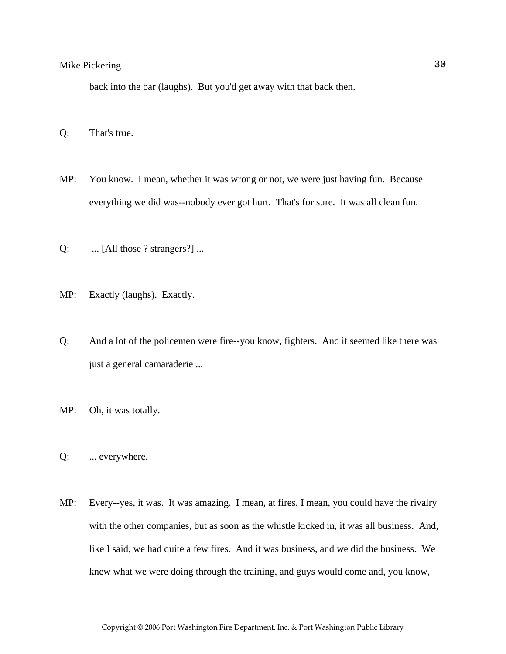back into the bar (laughs). But you'd get away with that back then.

Q: That's true.

- MP: You know. I mean, whether it was wrong or not, we were just having fun. Because everything we did was--nobody ever got hurt. That's for sure. It was all clean fun.
- Q: ... [All those ? strangers?] ...
- MP: Exactly (laughs). Exactly.
- Q: And a lot of the policemen were fire--you know, fighters. And it seemed like there was just a general camaraderie ...
- MP: Oh, it was totally.
- Q: ... everywhere.
- MP: Every--yes, it was. It was amazing. I mean, at fires, I mean, you could have the rivalry with the other companies, but as soon as the whistle kicked in, it was all business. And, like I said, we had quite a few fires. And it was business, and we did the business. We knew what we were doing through the training, and guys would come and, you know,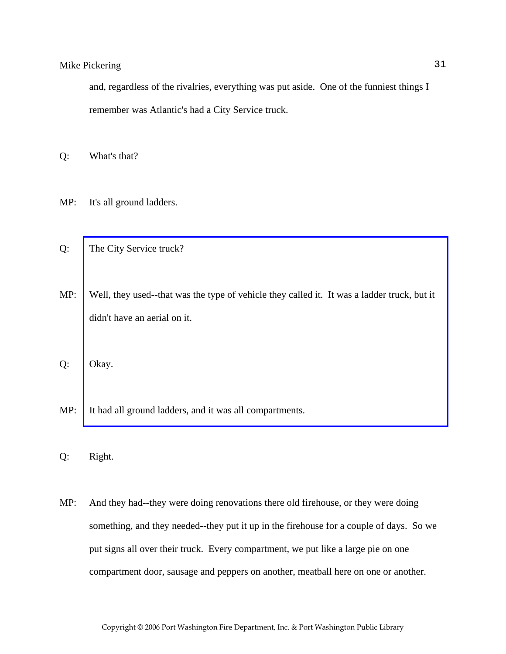and, regardless of the rivalries, everything was put aside. One of the funniest things I remember was Atlantic's had a City Service truck.

Q: What's that?

- MP: It's all ground ladders.
- Q: The City Service truck?
- MP: [Well, they used--that was the type of vehicle they called it. It was a ladder truck, but it](http://www.pwfdhistory.com/trans/pickeringm_trans/ahlco_truck02_web.jpg)  didn't have an aerial on it.

Q: Okay.

- MP: It had all ground ladders, and it was all compartments.
- Q: Right.
- MP: And they had--they were doing renovations there old firehouse, or they were doing something, and they needed--they put it up in the firehouse for a couple of days. So we put signs all over their truck. Every compartment, we put like a large pie on one compartment door, sausage and peppers on another, meatball here on one or another.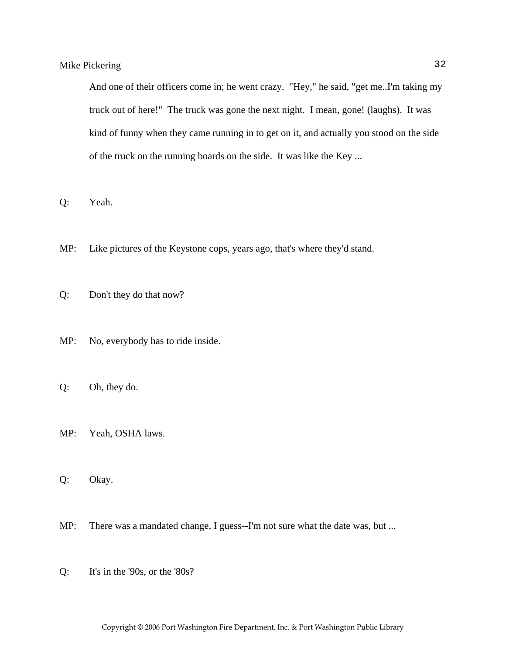And one of their officers come in; he went crazy. "Hey," he said, "get me..I'm taking my truck out of here!" The truck was gone the next night. I mean, gone! (laughs). It was kind of funny when they came running in to get on it, and actually you stood on the side of the truck on the running boards on the side. It was like the Key ...

Q: Yeah.

- MP: Like pictures of the Keystone cops, years ago, that's where they'd stand.
- Q: Don't they do that now?
- MP: No, everybody has to ride inside.
- Q: Oh, they do.
- MP: Yeah, OSHA laws.
- Q: Okay.
- MP: There was a mandated change, I guess--I'm not sure what the date was, but ...
- Q: It's in the '90s, or the '80s?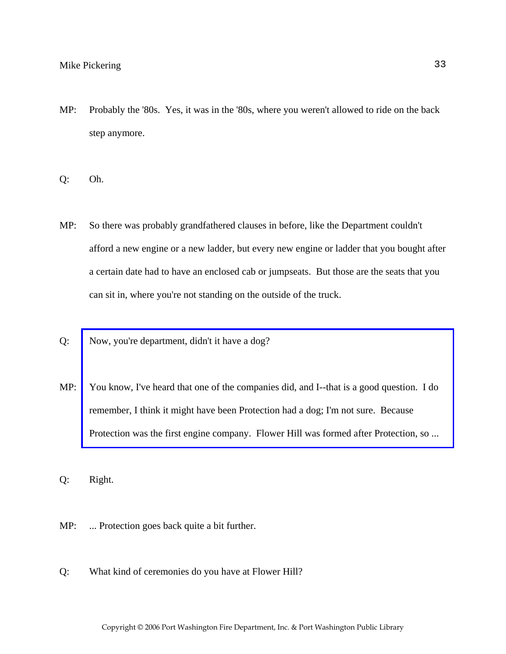- MP: Probably the '80s. Yes, it was in the '80s, where you weren't allowed to ride on the back step anymore.
- Q: Oh.
- MP: So there was probably grandfathered clauses in before, like the Department couldn't afford a new engine or a new ladder, but every new engine or ladder that you bought after a certain date had to have an enclosed cab or jumpseats. But those are the seats that you can sit in, where you're not standing on the outside of the truck.
- Q: Now, you're department, didn't it have a dog?
- MP: [You know, I've heard that one of the companies did, and I--that is a good question. I do](http://www.pwfdhistory.com/trans/pickeringm_trans/peco_smokey001_web.jpg)  remember, I think it might have been Protection had a dog; I'm not sure. Because Protection was the first engine company. Flower Hill was formed after Protection, so ...

Q: Right.

- MP: ... Protection goes back quite a bit further.
- Q: What kind of ceremonies do you have at Flower Hill?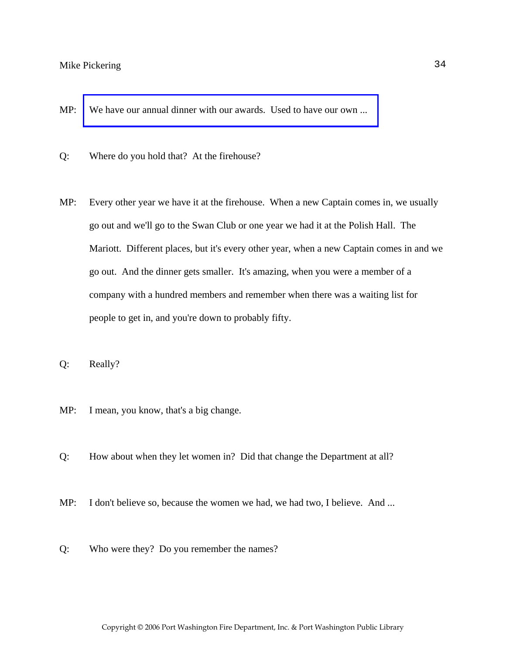- MP: We have our annual dinner with our awards. Used to have our own ...
- Q: Where do you hold that? At the firehouse?
- MP: Every other year we have it at the firehouse. When a new Captain comes in, we usually go out and we'll go to the Swan Club or one year we had it at the Polish Hall. The Mariott. Different places, but it's every other year, when a new Captain comes in and we go out. And the dinner gets smaller. It's amazing, when you were a member of a company with a hundred members and remember when there was a waiting list for people to get in, and you're down to probably fifty.
- Q: Really?
- MP: I mean, you know, that's a big change.
- Q: How about when they let women in? Did that change the Department at all?
- MP: I don't believe so, because the women we had, we had two, I believe. And ...
- Q: Who were they? Do you remember the names?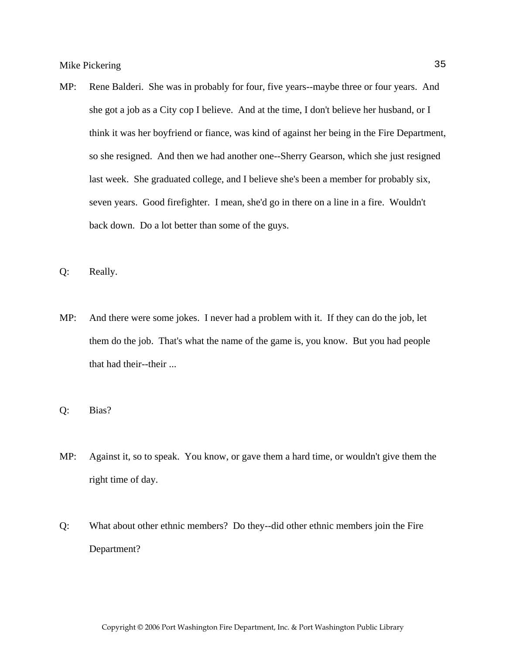- MP: Rene Balderi. She was in probably for four, five years--maybe three or four years. And she got a job as a City cop I believe. And at the time, I don't believe her husband, or I think it was her boyfriend or fiance, was kind of against her being in the Fire Department, so she resigned. And then we had another one--Sherry Gearson, which she just resigned last week. She graduated college, and I believe she's been a member for probably six, seven years. Good firefighter. I mean, she'd go in there on a line in a fire. Wouldn't back down. Do a lot better than some of the guys.
- Q: Really.
- MP: And there were some jokes. I never had a problem with it. If they can do the job, let them do the job. That's what the name of the game is, you know. But you had people that had their--their ...
- Q: Bias?
- MP: Against it, so to speak. You know, or gave them a hard time, or wouldn't give them the right time of day.
- Q: What about other ethnic members? Do they--did other ethnic members join the Fire Department?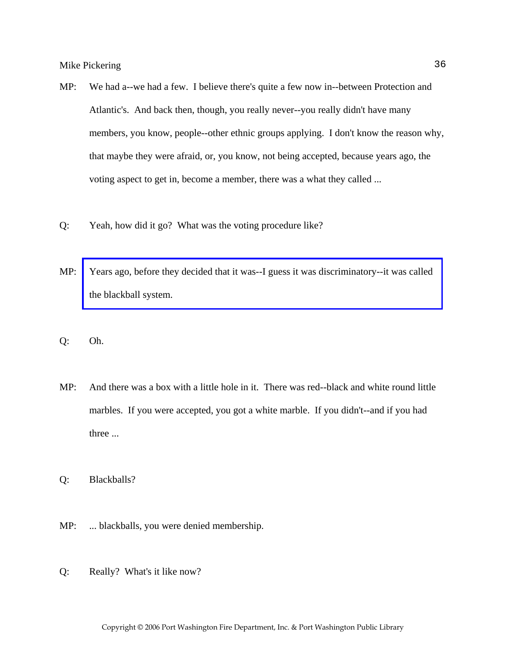- MP: We had a--we had a few. I believe there's quite a few now in--between Protection and Atlantic's. And back then, though, you really never--you really didn't have many members, you know, people--other ethnic groups applying. I don't know the reason why, that maybe they were afraid, or, you know, not being accepted, because years ago, the voting aspect to get in, become a member, there was a what they called ...
- Q: Yeah, how did it go? What was the voting procedure like?
- MP: [Years ago, before they decided that it was--I guess it was discriminatory--it was called](http://www.pwfdhistory.com/trans/pickeringm_trans/news_cocks041a.pdf)  the blackball system.
- Q: Oh.
- MP: And there was a box with a little hole in it. There was red--black and white round little marbles. If you were accepted, you got a white marble. If you didn't--and if you had three ...

Q: Blackballs?

- MP: ... blackballs, you were denied membership.
- Q: Really? What's it like now?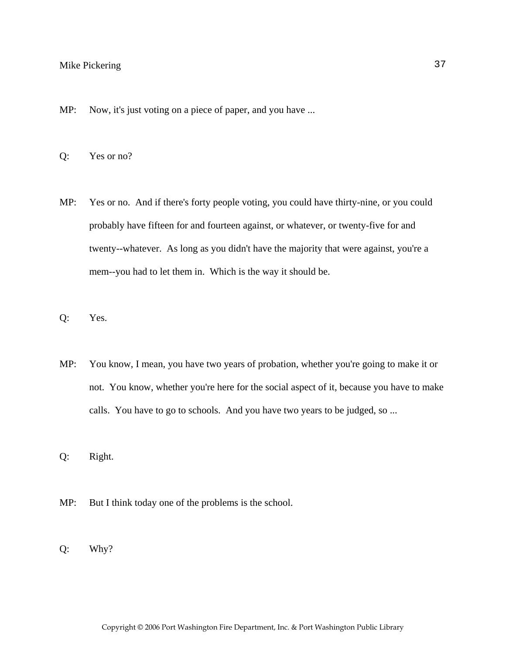- MP: Now, it's just voting on a piece of paper, and you have ...
- Q: Yes or no?
- MP: Yes or no. And if there's forty people voting, you could have thirty-nine, or you could probably have fifteen for and fourteen against, or whatever, or twenty-five for and twenty--whatever. As long as you didn't have the majority that were against, you're a mem--you had to let them in. Which is the way it should be.
- Q: Yes.
- MP: You know, I mean, you have two years of probation, whether you're going to make it or not. You know, whether you're here for the social aspect of it, because you have to make calls. You have to go to schools. And you have two years to be judged, so ...
- Q: Right.
- MP: But I think today one of the problems is the school.
- Q: Why?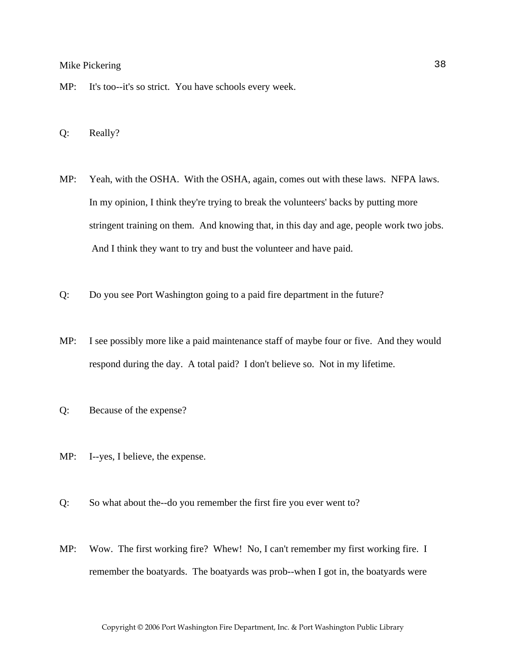- MP: It's too--it's so strict. You have schools every week.
- Q: Really?
- MP: Yeah, with the OSHA. With the OSHA, again, comes out with these laws. NFPA laws. In my opinion, I think they're trying to break the volunteers' backs by putting more stringent training on them. And knowing that, in this day and age, people work two jobs. And I think they want to try and bust the volunteer and have paid.
- Q: Do you see Port Washington going to a paid fire department in the future?
- MP: I see possibly more like a paid maintenance staff of maybe four or five. And they would respond during the day. A total paid? I don't believe so. Not in my lifetime.
- Q: Because of the expense?
- MP: I--yes, I believe, the expense.
- Q: So what about the--do you remember the first fire you ever went to?
- MP: Wow. The first working fire? Whew! No, I can't remember my first working fire. I remember the boatyards. The boatyards was prob--when I got in, the boatyards were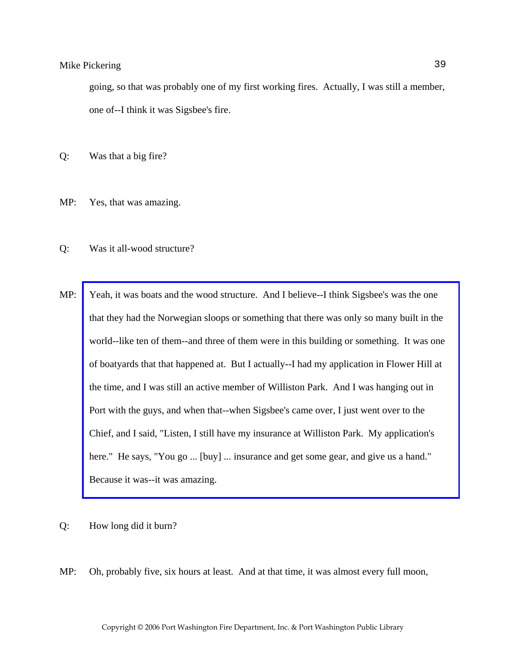going, so that was probably one of my first working fires. Actually, I was still a member, one of--I think it was Sigsbee's fire.

Q: Was that a big fire?

- MP: Yes, that was amazing.
- Q: Was it all-wood structure?
- MP: Yeah, it was boats and the wood structure. And I believe--I think Sigsbee's was the one that they had the Norwegian sloops or something that there was only so many built in the [world--like ten of them--and three of them were in this building or something. It was one](http://www.pwfdhistory.com/trans/pickeringm_trans/fhh_fires007_web.jpg)  of boatyards that that happened at. But I actually--I had my application in Flower Hill at the time, and I was still an active member of Williston Park. And I was hanging out in Port with the guys, and when that--when Sigsbee's came over, I just went over to the Chief, and I said, "Listen, I still have my insurance at Williston Park. My application's here." He says, "You go ... [buy] ... insurance and get some gear, and give us a hand." Because it was--it was amazing.

#### Q: How long did it burn?

MP: Oh, probably five, six hours at least. And at that time, it was almost every full moon,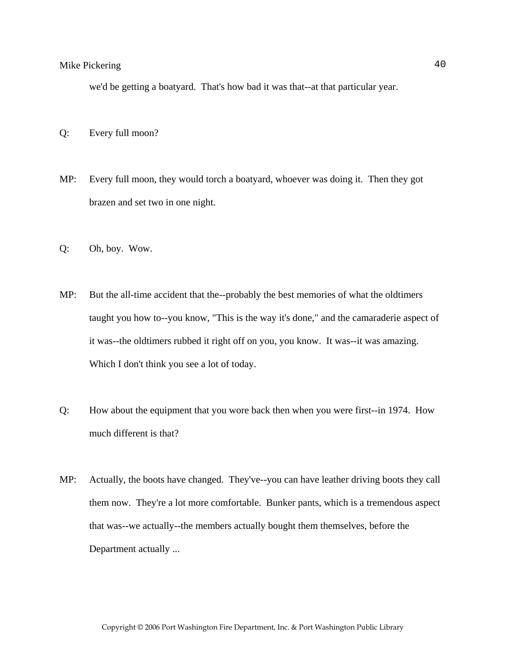we'd be getting a boatyard. That's how bad it was that--at that particular year.

- Q: Every full moon?
- MP: Every full moon, they would torch a boatyard, whoever was doing it. Then they got brazen and set two in one night.
- Q: Oh, boy. Wow.
- MP: But the all-time accident that the--probably the best memories of what the oldtimers taught you how to--you know, "This is the way it's done," and the camaraderie aspect of it was--the oldtimers rubbed it right off on you, you know. It was--it was amazing. Which I don't think you see a lot of today.
- Q: How about the equipment that you wore back then when you were first--in 1974. How much different is that?
- MP: Actually, the boots have changed. They've--you can have leather driving boots they call them now. They're a lot more comfortable. Bunker pants, which is a tremendous aspect that was--we actually--the members actually bought them themselves, before the Department actually ...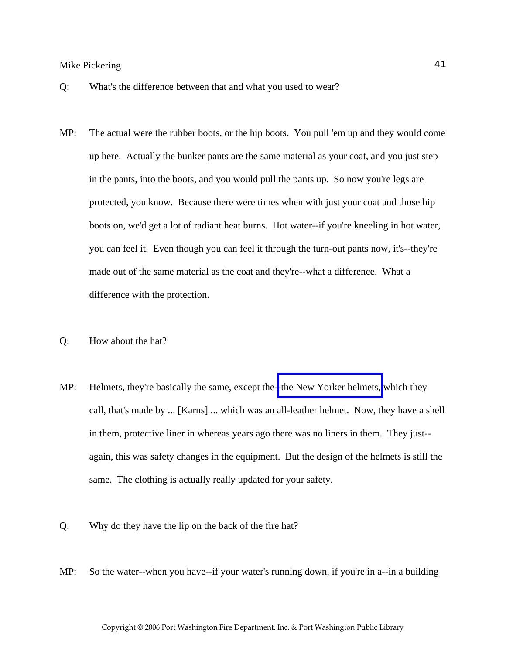- Q: What's the difference between that and what you used to wear?
- MP: The actual were the rubber boots, or the hip boots. You pull 'em up and they would come up here. Actually the bunker pants are the same material as your coat, and you just step in the pants, into the boots, and you would pull the pants up. So now you're legs are protected, you know. Because there were times when with just your coat and those hip boots on, we'd get a lot of radiant heat burns. Hot water--if you're kneeling in hot water, you can feel it. Even though you can feel it through the turn-out pants now, it's--they're made out of the same material as the coat and they're--what a difference. What a difference with the protection.
- Q: How about the hat?
- MP: Helmets, they're basically the same, except the-[-the New Yorker helmets,](http://www.pwfdhistory.com/trans/pickeringm_trans/helmet_fhhco.jpg) which they call, that's made by ... [Karns] ... which was an all-leather helmet. Now, they have a shell in them, protective liner in whereas years ago there was no liners in them. They just- again, this was safety changes in the equipment. But the design of the helmets is still the same. The clothing is actually really updated for your safety.
- Q: Why do they have the lip on the back of the fire hat?
- MP: So the water--when you have--if your water's running down, if you're in a--in a building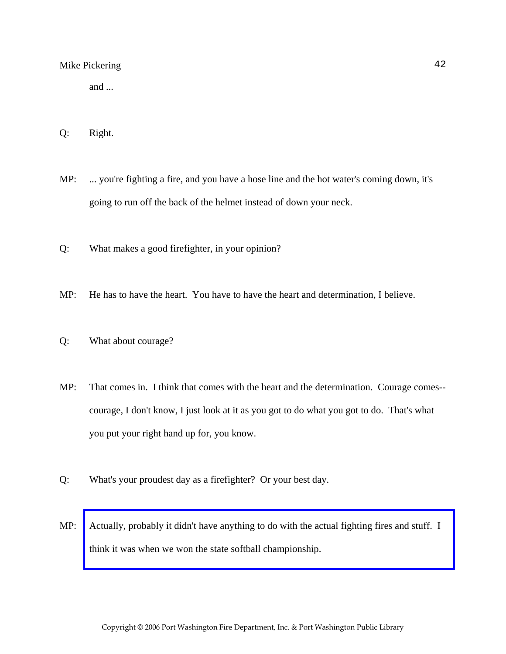and ...

- Q: Right.
- MP: ... you're fighting a fire, and you have a hose line and the hot water's coming down, it's going to run off the back of the helmet instead of down your neck.
- Q: What makes a good firefighter, in your opinion?
- MP: He has to have the heart. You have to have the heart and determination, I believe.
- Q: What about courage?
- MP: That comes in. I think that comes with the heart and the determination. Courage comes- courage, I don't know, I just look at it as you got to do what you got to do. That's what you put your right hand up for, you know.
- Q: What's your proudest day as a firefighter? Or your best day.
- MP: [Actually, probably it didn't have anything to do with the actual fighting fires and stuff. I](http://www.pwfdhistory.com/trans/pickeringm_trans/hudsonreg860804_pz.pdf)  think it was when we won the state softball championship.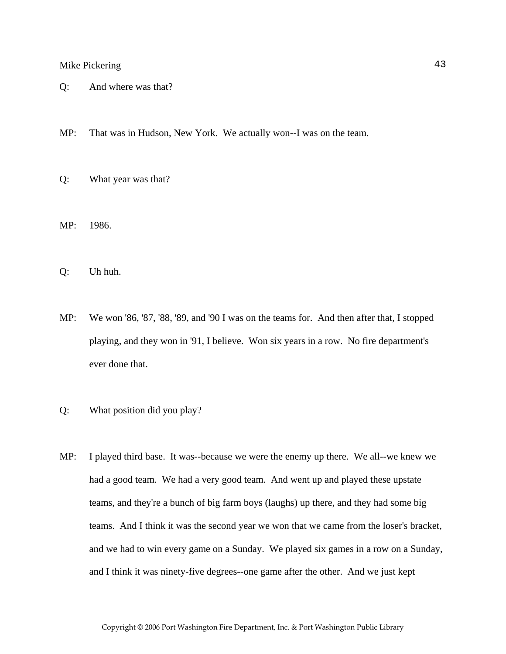- Q: And where was that?
- MP: That was in Hudson, New York. We actually won--I was on the team.
- Q: What year was that?
- MP: 1986.
- Q: Uh huh.
- MP: We won '86, '87, '88, '89, and '90 I was on the teams for. And then after that, I stopped playing, and they won in '91, I believe. Won six years in a row. No fire department's ever done that.
- Q: What position did you play?
- MP: I played third base. It was--because we were the enemy up there. We all--we knew we had a good team. We had a very good team. And went up and played these upstate teams, and they're a bunch of big farm boys (laughs) up there, and they had some big teams. And I think it was the second year we won that we came from the loser's bracket, and we had to win every game on a Sunday. We played six games in a row on a Sunday, and I think it was ninety-five degrees--one game after the other. And we just kept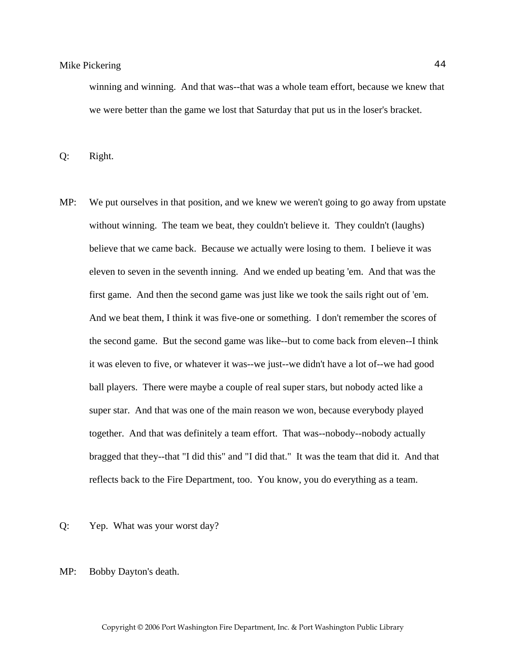winning and winning. And that was--that was a whole team effort, because we knew that we were better than the game we lost that Saturday that put us in the loser's bracket.

Q: Right.

- MP: We put ourselves in that position, and we knew we weren't going to go away from upstate without winning. The team we beat, they couldn't believe it. They couldn't (laughs) believe that we came back. Because we actually were losing to them. I believe it was eleven to seven in the seventh inning. And we ended up beating 'em. And that was the first game. And then the second game was just like we took the sails right out of 'em. And we beat them, I think it was five-one or something. I don't remember the scores of the second game. But the second game was like--but to come back from eleven--I think it was eleven to five, or whatever it was--we just--we didn't have a lot of--we had good ball players. There were maybe a couple of real super stars, but nobody acted like a super star. And that was one of the main reason we won, because everybody played together. And that was definitely a team effort. That was--nobody--nobody actually bragged that they--that "I did this" and "I did that." It was the team that did it. And that reflects back to the Fire Department, too. You know, you do everything as a team.
- Q: Yep. What was your worst day?
- MP: Bobby Dayton's death.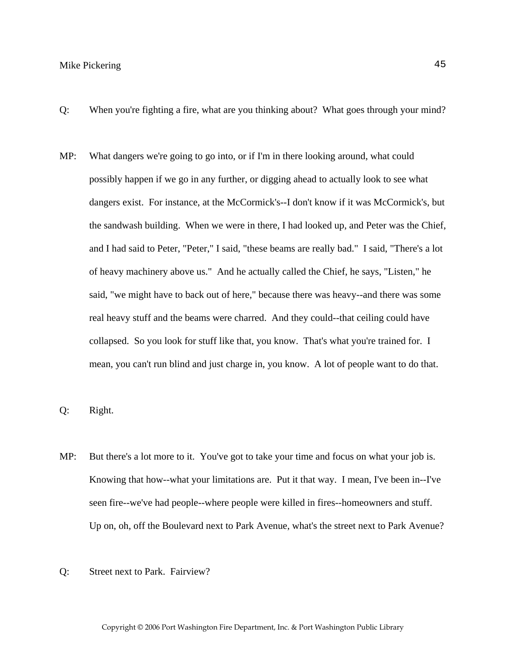- Q: When you're fighting a fire, what are you thinking about? What goes through your mind?
- MP: What dangers we're going to go into, or if I'm in there looking around, what could possibly happen if we go in any further, or digging ahead to actually look to see what dangers exist. For instance, at the McCormick's--I don't know if it was McCormick's, but the sandwash building. When we were in there, I had looked up, and Peter was the Chief, and I had said to Peter, "Peter," I said, "these beams are really bad." I said, "There's a lot of heavy machinery above us." And he actually called the Chief, he says, "Listen," he said, "we might have to back out of here," because there was heavy--and there was some real heavy stuff and the beams were charred. And they could--that ceiling could have collapsed. So you look for stuff like that, you know. That's what you're trained for. I mean, you can't run blind and just charge in, you know. A lot of people want to do that.

Q: Right.

- MP: But there's a lot more to it. You've got to take your time and focus on what your job is. Knowing that how--what your limitations are. Put it that way. I mean, I've been in--I've seen fire--we've had people--where people were killed in fires--homeowners and stuff. Up on, oh, off the Boulevard next to Park Avenue, what's the street next to Park Avenue?
- Q: Street next to Park. Fairview?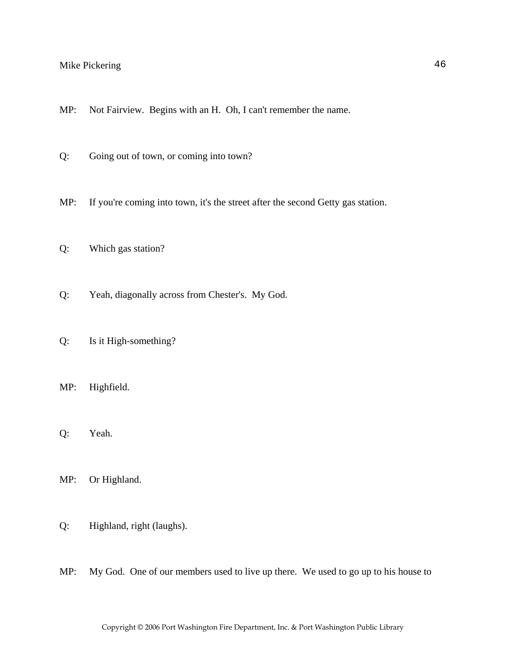- MP: Not Fairview. Begins with an H. Oh, I can't remember the name.
- Q: Going out of town, or coming into town?
- MP: If you're coming into town, it's the street after the second Getty gas station.
- Q: Which gas station?
- Q: Yeah, diagonally across from Chester's. My God.
- Q: Is it High-something?
- MP: Highfield.
- Q: Yeah.
- MP: Or Highland.
- Q: Highland, right (laughs).
- MP: My God. One of our members used to live up there. We used to go up to his house to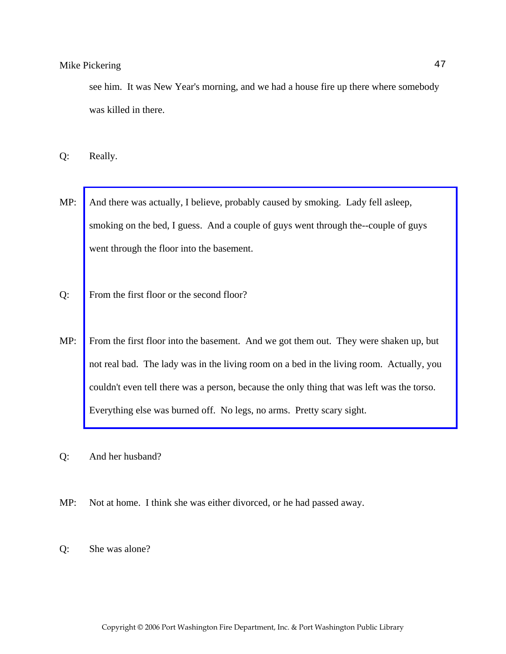see him. It was New Year's morning, and we had a house fire up there where somebody was killed in there.

Q: Really.

- MP: And there was actually, I believe, probably caused by smoking. Lady fell asleep, smoking on the bed, I guess. And a couple of guys went through the--couple of guys went through the floor into the basement.
- Q: From the first floor or the second floor?
- MP: [From the first floor into the basement. And we got them out. They were shaken up, but](http://www.pwfdhistory.com/trans/pickeringm_trans/pnews_771208_hw.pdf)  not real bad. The lady was in the living room on a bed in the living room. Actually, you couldn't even tell there was a person, because the only thing that was left was the torso. Everything else was burned off. No legs, no arms. Pretty scary sight.
- Q: And her husband?
- MP: Not at home. I think she was either divorced, or he had passed away.
- Q: She was alone?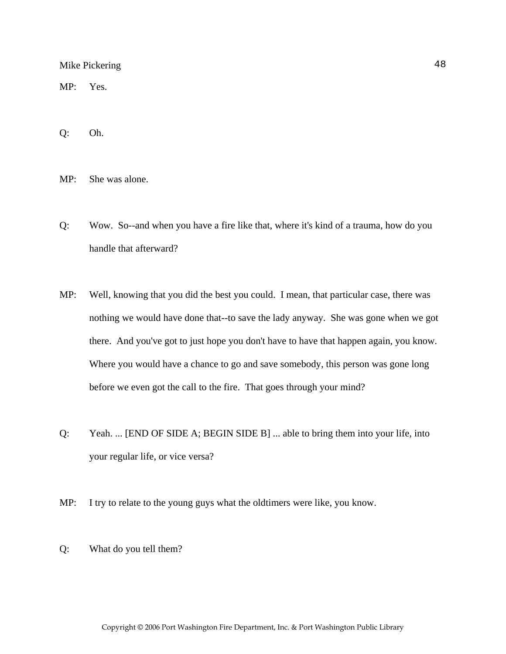MP: Yes.

Q: Oh.

MP: She was alone.

- Q: Wow. So--and when you have a fire like that, where it's kind of a trauma, how do you handle that afterward?
- MP: Well, knowing that you did the best you could. I mean, that particular case, there was nothing we would have done that--to save the lady anyway. She was gone when we got there. And you've got to just hope you don't have to have that happen again, you know. Where you would have a chance to go and save somebody, this person was gone long before we even got the call to the fire. That goes through your mind?
- Q: Yeah. ... [END OF SIDE A; BEGIN SIDE B] ... able to bring them into your life, into your regular life, or vice versa?
- MP: I try to relate to the young guys what the oldtimers were like, you know.
- Q: What do you tell them?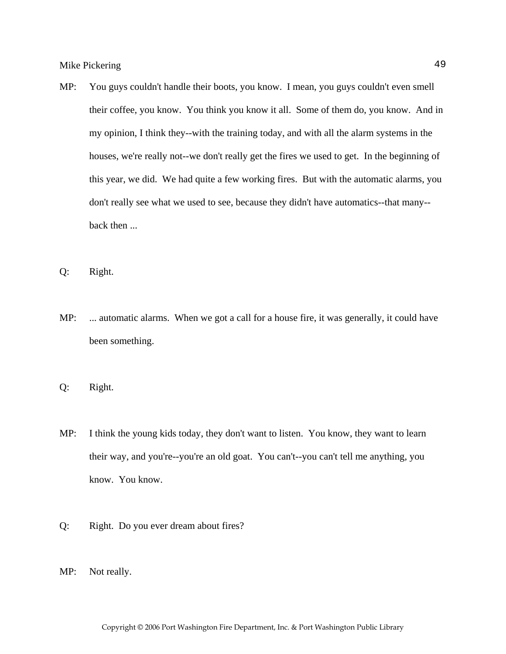MP: You guys couldn't handle their boots, you know. I mean, you guys couldn't even smell their coffee, you know. You think you know it all. Some of them do, you know. And in my opinion, I think they--with the training today, and with all the alarm systems in the houses, we're really not--we don't really get the fires we used to get. In the beginning of this year, we did. We had quite a few working fires. But with the automatic alarms, you don't really see what we used to see, because they didn't have automatics--that many- back then ...

Q: Right.

MP: ... automatic alarms. When we got a call for a house fire, it was generally, it could have been something.

Q: Right.

- MP: I think the young kids today, they don't want to listen. You know, they want to learn their way, and you're--you're an old goat. You can't--you can't tell me anything, you know. You know.
- Q: Right. Do you ever dream about fires?
- MP: Not really.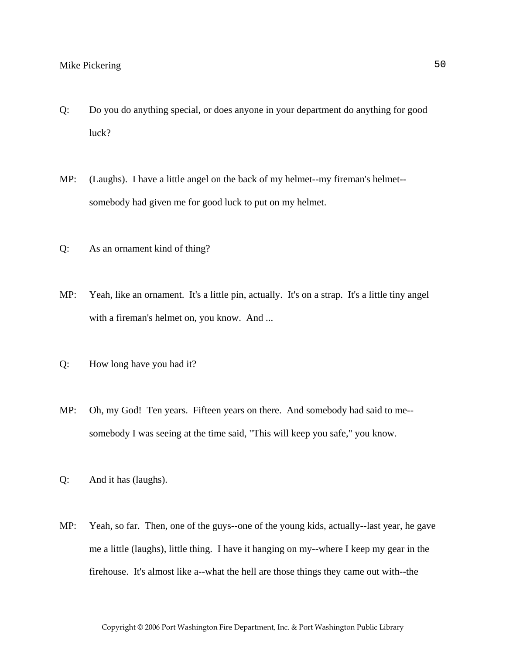- Q: Do you do anything special, or does anyone in your department do anything for good luck?
- MP: (Laughs). I have a little angel on the back of my helmet--my fireman's helmet- somebody had given me for good luck to put on my helmet.
- Q: As an ornament kind of thing?
- MP: Yeah, like an ornament. It's a little pin, actually. It's on a strap. It's a little tiny angel with a fireman's helmet on, you know. And ...
- Q: How long have you had it?
- MP: Oh, my God! Ten years. Fifteen years on there. And somebody had said to me- somebody I was seeing at the time said, "This will keep you safe," you know.
- Q: And it has (laughs).
- MP: Yeah, so far. Then, one of the guys--one of the young kids, actually--last year, he gave me a little (laughs), little thing. I have it hanging on my--where I keep my gear in the firehouse. It's almost like a--what the hell are those things they came out with--the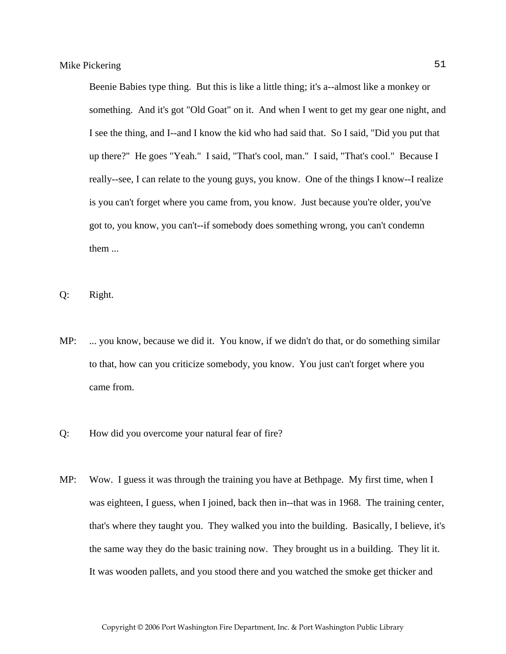Beenie Babies type thing. But this is like a little thing; it's a--almost like a monkey or something. And it's got "Old Goat" on it. And when I went to get my gear one night, and I see the thing, and I--and I know the kid who had said that. So I said, "Did you put that up there?" He goes "Yeah." I said, "That's cool, man." I said, "That's cool." Because I really--see, I can relate to the young guys, you know. One of the things I know--I realize is you can't forget where you came from, you know. Just because you're older, you've got to, you know, you can't--if somebody does something wrong, you can't condemn them ...

- Q: Right.
- MP: ... you know, because we did it. You know, if we didn't do that, or do something similar to that, how can you criticize somebody, you know. You just can't forget where you came from.
- Q: How did you overcome your natural fear of fire?
- MP: Wow. I guess it was through the training you have at Bethpage. My first time, when I was eighteen, I guess, when I joined, back then in--that was in 1968. The training center, that's where they taught you. They walked you into the building. Basically, I believe, it's the same way they do the basic training now. They brought us in a building. They lit it. It was wooden pallets, and you stood there and you watched the smoke get thicker and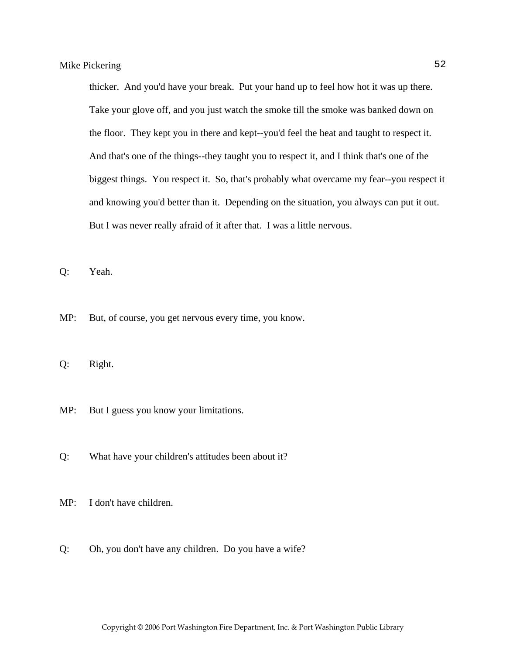thicker. And you'd have your break. Put your hand up to feel how hot it was up there. Take your glove off, and you just watch the smoke till the smoke was banked down on the floor. They kept you in there and kept--you'd feel the heat and taught to respect it. And that's one of the things--they taught you to respect it, and I think that's one of the biggest things. You respect it. So, that's probably what overcame my fear--you respect it and knowing you'd better than it. Depending on the situation, you always can put it out. But I was never really afraid of it after that. I was a little nervous.

Q: Yeah.

MP: But, of course, you get nervous every time, you know.

Q: Right.

- MP: But I guess you know your limitations.
- Q: What have your children's attitudes been about it?
- MP: I don't have children.
- Q: Oh, you don't have any children. Do you have a wife?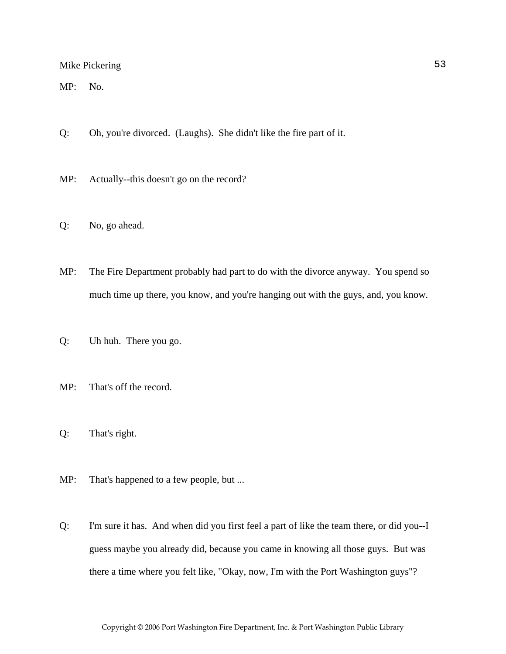MP: No.

- Q: Oh, you're divorced. (Laughs). She didn't like the fire part of it.
- MP: Actually--this doesn't go on the record?
- Q: No, go ahead.
- MP: The Fire Department probably had part to do with the divorce anyway. You spend so much time up there, you know, and you're hanging out with the guys, and, you know.
- Q: Uh huh. There you go.
- MP: That's off the record.
- Q: That's right.
- MP: That's happened to a few people, but ...
- Q: I'm sure it has. And when did you first feel a part of like the team there, or did you--I guess maybe you already did, because you came in knowing all those guys. But was there a time where you felt like, "Okay, now, I'm with the Port Washington guys"?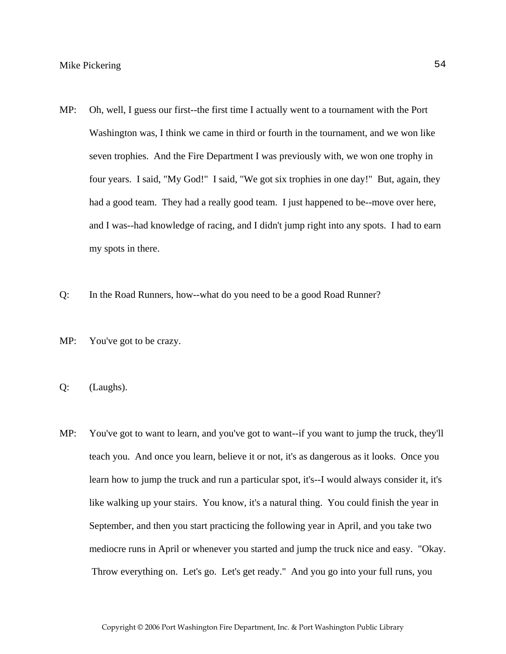- MP: Oh, well, I guess our first--the first time I actually went to a tournament with the Port Washington was, I think we came in third or fourth in the tournament, and we won like seven trophies. And the Fire Department I was previously with, we won one trophy in four years. I said, "My God!" I said, "We got six trophies in one day!" But, again, they had a good team. They had a really good team. I just happened to be--move over here, and I was--had knowledge of racing, and I didn't jump right into any spots. I had to earn my spots in there.
- Q: In the Road Runners, how--what do you need to be a good Road Runner?
- MP: You've got to be crazy.
- Q: (Laughs).
- MP: You've got to want to learn, and you've got to want--if you want to jump the truck, they'll teach you. And once you learn, believe it or not, it's as dangerous as it looks. Once you learn how to jump the truck and run a particular spot, it's--I would always consider it, it's like walking up your stairs. You know, it's a natural thing. You could finish the year in September, and then you start practicing the following year in April, and you take two mediocre runs in April or whenever you started and jump the truck nice and easy. "Okay. Throw everything on. Let's go. Let's get ready." And you go into your full runs, you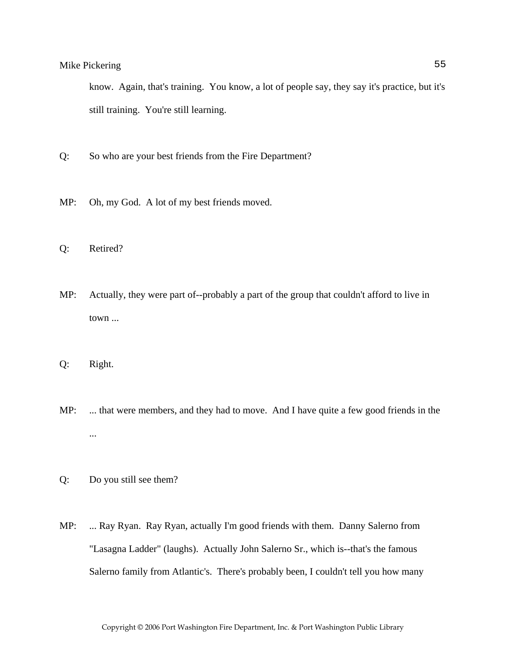know. Again, that's training. You know, a lot of people say, they say it's practice, but it's still training. You're still learning.

- Q: So who are your best friends from the Fire Department?
- MP: Oh, my God. A lot of my best friends moved.
- Q: Retired?
- MP: Actually, they were part of--probably a part of the group that couldn't afford to live in town ...
- Q: Right.
- MP: ... that were members, and they had to move. And I have quite a few good friends in the ...
- Q: Do you still see them?
- MP: ... Ray Ryan. Ray Ryan, actually I'm good friends with them. Danny Salerno from "Lasagna Ladder" (laughs). Actually John Salerno Sr., which is--that's the famous Salerno family from Atlantic's. There's probably been, I couldn't tell you how many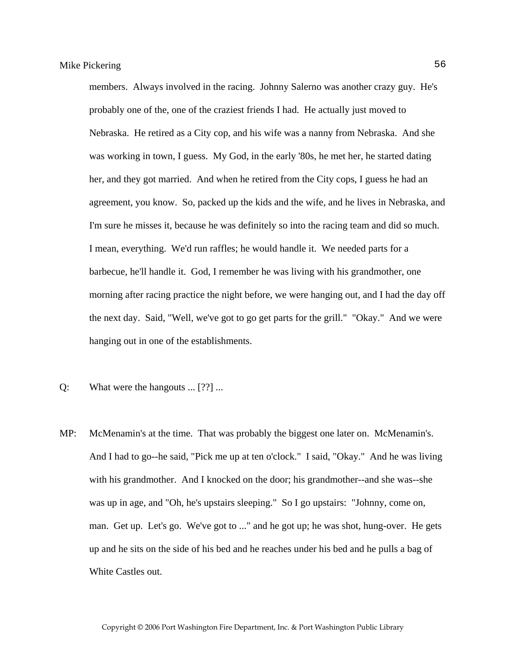members. Always involved in the racing. Johnny Salerno was another crazy guy. He's probably one of the, one of the craziest friends I had. He actually just moved to Nebraska. He retired as a City cop, and his wife was a nanny from Nebraska. And she was working in town, I guess. My God, in the early '80s, he met her, he started dating her, and they got married. And when he retired from the City cops, I guess he had an agreement, you know. So, packed up the kids and the wife, and he lives in Nebraska, and I'm sure he misses it, because he was definitely so into the racing team and did so much. I mean, everything. We'd run raffles; he would handle it. We needed parts for a barbecue, he'll handle it. God, I remember he was living with his grandmother, one morning after racing practice the night before, we were hanging out, and I had the day off the next day. Said, "Well, we've got to go get parts for the grill." "Okay." And we were hanging out in one of the establishments.

- Q: What were the hangouts ... [??] ...
- MP: McMenamin's at the time. That was probably the biggest one later on. McMenamin's. And I had to go--he said, "Pick me up at ten o'clock." I said, "Okay." And he was living with his grandmother. And I knocked on the door; his grandmother--and she was--she was up in age, and "Oh, he's upstairs sleeping." So I go upstairs: "Johnny, come on, man. Get up. Let's go. We've got to ..." and he got up; he was shot, hung-over. He gets up and he sits on the side of his bed and he reaches under his bed and he pulls a bag of White Castles out.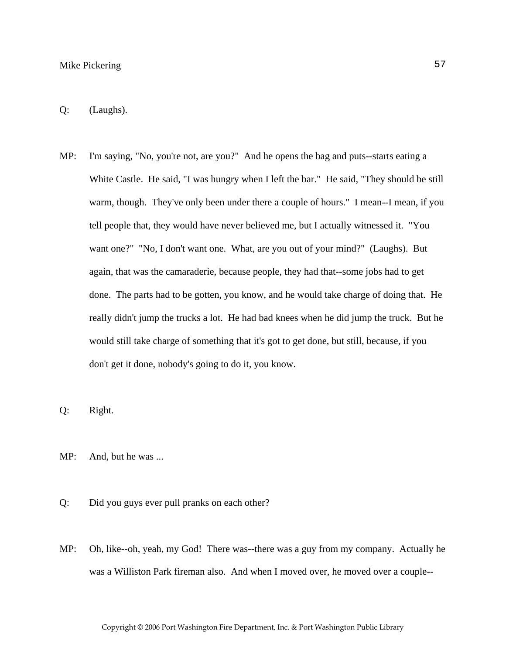- Q: (Laughs).
- MP: I'm saying, "No, you're not, are you?" And he opens the bag and puts--starts eating a White Castle. He said, "I was hungry when I left the bar." He said, "They should be still warm, though. They've only been under there a couple of hours." I mean--I mean, if you tell people that, they would have never believed me, but I actually witnessed it. "You want one?" "No, I don't want one. What, are you out of your mind?" (Laughs). But again, that was the camaraderie, because people, they had that--some jobs had to get done. The parts had to be gotten, you know, and he would take charge of doing that. He really didn't jump the trucks a lot. He had bad knees when he did jump the truck. But he would still take charge of something that it's got to get done, but still, because, if you don't get it done, nobody's going to do it, you know.
- Q: Right.
- MP: And, but he was ...
- Q: Did you guys ever pull pranks on each other?
- MP: Oh, like--oh, yeah, my God! There was--there was a guy from my company. Actually he was a Williston Park fireman also. And when I moved over, he moved over a couple--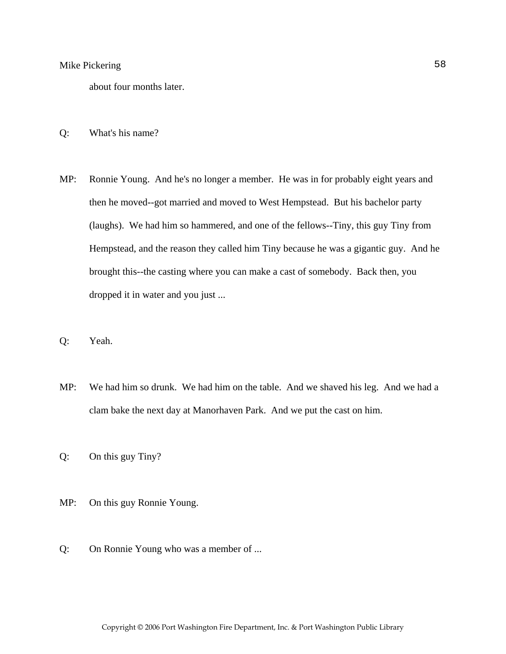about four months later.

- Q: What's his name?
- MP: Ronnie Young. And he's no longer a member. He was in for probably eight years and then he moved--got married and moved to West Hempstead. But his bachelor party (laughs). We had him so hammered, and one of the fellows--Tiny, this guy Tiny from Hempstead, and the reason they called him Tiny because he was a gigantic guy. And he brought this--the casting where you can make a cast of somebody. Back then, you dropped it in water and you just ...
- Q: Yeah.
- MP: We had him so drunk. We had him on the table. And we shaved his leg. And we had a clam bake the next day at Manorhaven Park. And we put the cast on him.
- Q: On this guy Tiny?
- MP: On this guy Ronnie Young.
- Q: On Ronnie Young who was a member of ...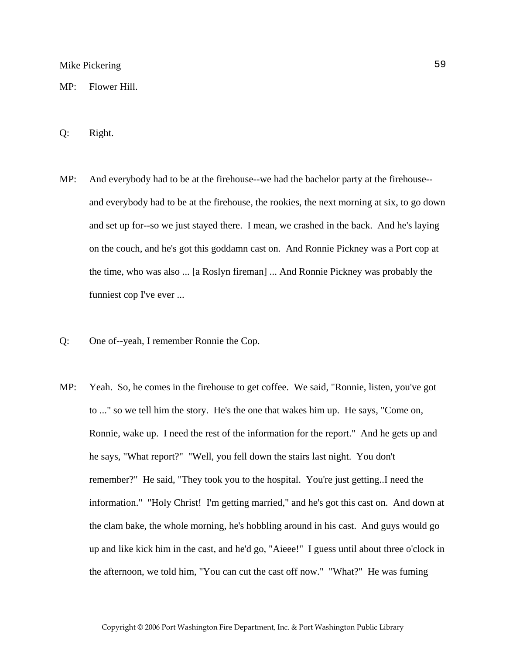MP: Flower Hill.

- Q: Right.
- MP: And everybody had to be at the firehouse--we had the bachelor party at the firehouse- and everybody had to be at the firehouse, the rookies, the next morning at six, to go down and set up for--so we just stayed there. I mean, we crashed in the back. And he's laying on the couch, and he's got this goddamn cast on. And Ronnie Pickney was a Port cop at the time, who was also ... [a Roslyn fireman] ... And Ronnie Pickney was probably the funniest cop I've ever ...
- Q: One of--yeah, I remember Ronnie the Cop.
- MP: Yeah. So, he comes in the firehouse to get coffee. We said, "Ronnie, listen, you've got to ..." so we tell him the story. He's the one that wakes him up. He says, "Come on, Ronnie, wake up. I need the rest of the information for the report." And he gets up and he says, "What report?" "Well, you fell down the stairs last night. You don't remember?" He said, "They took you to the hospital. You're just getting..I need the information." "Holy Christ! I'm getting married," and he's got this cast on. And down at the clam bake, the whole morning, he's hobbling around in his cast. And guys would go up and like kick him in the cast, and he'd go, "Aieee!" I guess until about three o'clock in the afternoon, we told him, "You can cut the cast off now." "What?" He was fuming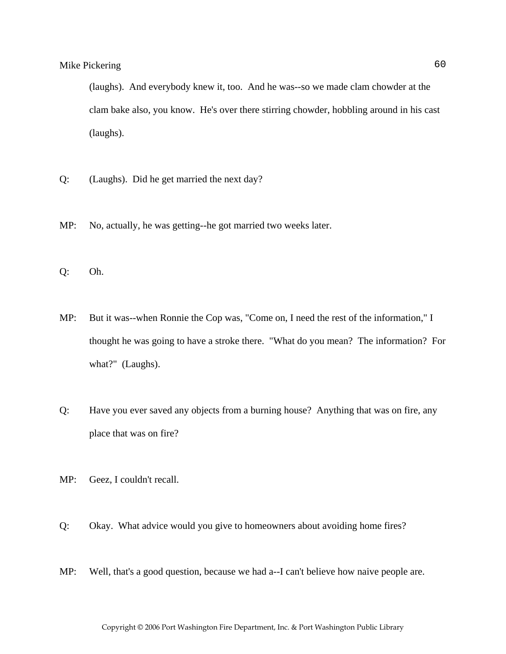(laughs). And everybody knew it, too. And he was--so we made clam chowder at the clam bake also, you know. He's over there stirring chowder, hobbling around in his cast (laughs).

- Q: (Laughs). Did he get married the next day?
- MP: No, actually, he was getting--he got married two weeks later.

Q: Oh.

- MP: But it was--when Ronnie the Cop was, "Come on, I need the rest of the information," I thought he was going to have a stroke there. "What do you mean? The information? For what?" (Laughs).
- Q: Have you ever saved any objects from a burning house? Anything that was on fire, any place that was on fire?
- MP: Geez, I couldn't recall.
- Q: Okay. What advice would you give to homeowners about avoiding home fires?
- MP: Well, that's a good question, because we had a--I can't believe how naive people are.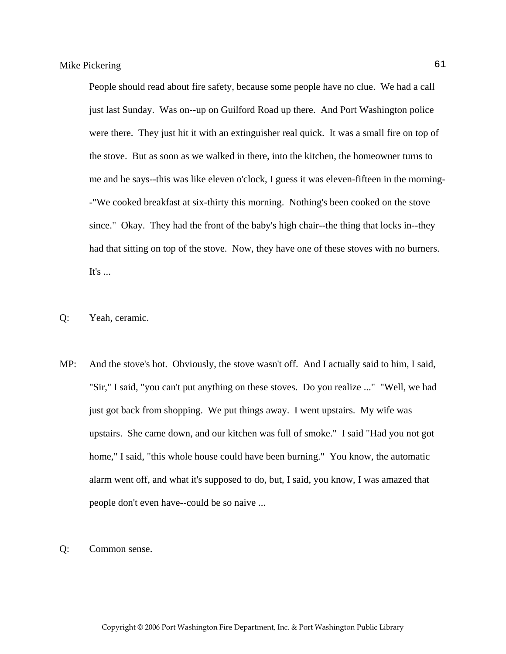People should read about fire safety, because some people have no clue. We had a call just last Sunday. Was on--up on Guilford Road up there. And Port Washington police were there. They just hit it with an extinguisher real quick. It was a small fire on top of the stove. But as soon as we walked in there, into the kitchen, the homeowner turns to me and he says--this was like eleven o'clock, I guess it was eleven-fifteen in the morning- -"We cooked breakfast at six-thirty this morning. Nothing's been cooked on the stove since." Okay. They had the front of the baby's high chair--the thing that locks in--they had that sitting on top of the stove. Now, they have one of these stoves with no burners. It's  $\ldots$ 

- Q: Yeah, ceramic.
- MP: And the stove's hot. Obviously, the stove wasn't off. And I actually said to him, I said, "Sir," I said, "you can't put anything on these stoves. Do you realize ..." "Well, we had just got back from shopping. We put things away. I went upstairs. My wife was upstairs. She came down, and our kitchen was full of smoke." I said "Had you not got home," I said, "this whole house could have been burning." You know, the automatic alarm went off, and what it's supposed to do, but, I said, you know, I was amazed that people don't even have--could be so naive ...
- Q: Common sense.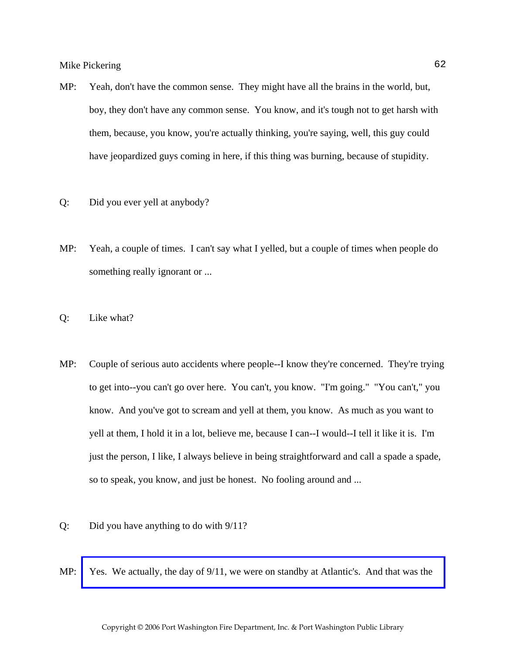- MP: Yeah, don't have the common sense. They might have all the brains in the world, but, boy, they don't have any common sense. You know, and it's tough not to get harsh with them, because, you know, you're actually thinking, you're saying, well, this guy could have jeopardized guys coming in here, if this thing was burning, because of stupidity.
- Q: Did you ever yell at anybody?
- MP: Yeah, a couple of times. I can't say what I yelled, but a couple of times when people do something really ignorant or ...
- Q: Like what?
- MP: Couple of serious auto accidents where people--I know they're concerned. They're trying to get into--you can't go over here. You can't, you know. "I'm going." "You can't," you know. And you've got to scream and yell at them, you know. As much as you want to yell at them, I hold it in a lot, believe me, because I can--I would--I tell it like it is. I'm just the person, I like, I always believe in being straightforward and call a spade a spade, so to speak, you know, and just be honest. No fooling around and ...
- Q: Did you have anything to do with 9/11?
- MP: [Yes. We actually, the day of 9/11, we were on standby at Atlantic's. And that was the](http://www.pwfdhistory.com/trans/pickeringm_trans/pwfd_911002_web.jpg)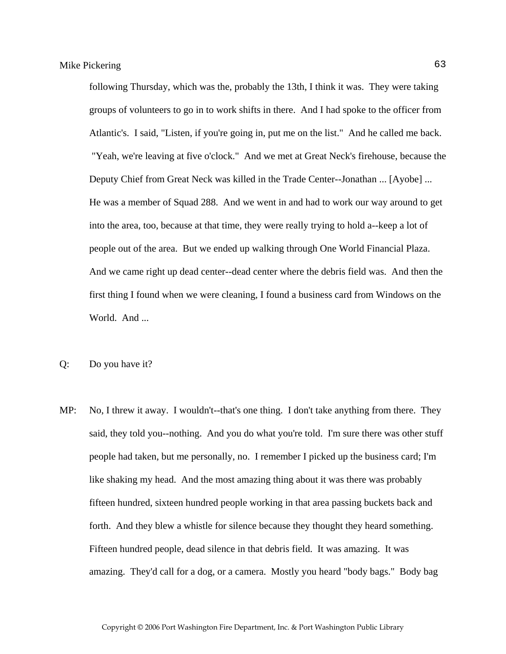following Thursday, which was the, probably the 13th, I think it was. They were taking groups of volunteers to go in to work shifts in there. And I had spoke to the officer from Atlantic's. I said, "Listen, if you're going in, put me on the list." And he called me back. "Yeah, we're leaving at five o'clock." And we met at Great Neck's firehouse, because the Deputy Chief from Great Neck was killed in the Trade Center--Jonathan ... [Ayobe] ... He was a member of Squad 288. And we went in and had to work our way around to get into the area, too, because at that time, they were really trying to hold a--keep a lot of people out of the area. But we ended up walking through One World Financial Plaza. And we came right up dead center--dead center where the debris field was. And then the first thing I found when we were cleaning, I found a business card from Windows on the World. And ...

- Q: Do you have it?
- MP: No, I threw it away. I wouldn't--that's one thing. I don't take anything from there. They said, they told you--nothing. And you do what you're told. I'm sure there was other stuff people had taken, but me personally, no. I remember I picked up the business card; I'm like shaking my head. And the most amazing thing about it was there was probably fifteen hundred, sixteen hundred people working in that area passing buckets back and forth. And they blew a whistle for silence because they thought they heard something. Fifteen hundred people, dead silence in that debris field. It was amazing. It was amazing. They'd call for a dog, or a camera. Mostly you heard "body bags." Body bag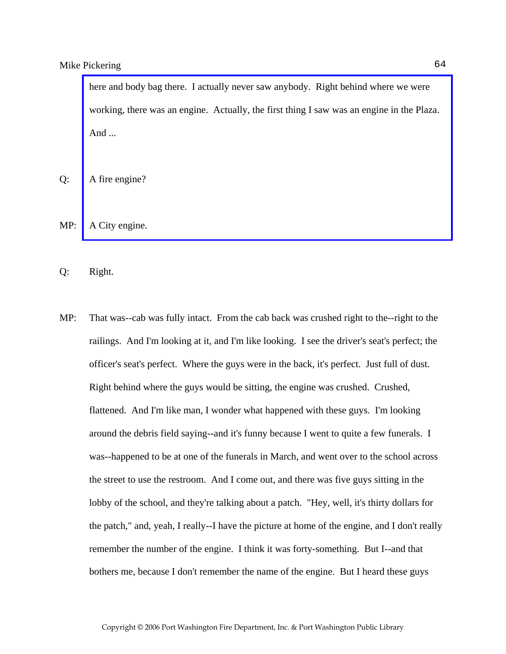here and body bag there. I actually never saw anybody. Right behind where we were [working, there was an engine. Actually, the first thing I saw was an engine in the Plaza.](http://www.pwfdhistory.com/trans/pickeringm_trans/pwfd_911010_web.jpg)  And ...

Q: A fire engine?

MP: A City engine.

Q: Right.

MP: That was--cab was fully intact. From the cab back was crushed right to the--right to the railings. And I'm looking at it, and I'm like looking. I see the driver's seat's perfect; the officer's seat's perfect. Where the guys were in the back, it's perfect. Just full of dust. Right behind where the guys would be sitting, the engine was crushed. Crushed, flattened. And I'm like man, I wonder what happened with these guys. I'm looking around the debris field saying--and it's funny because I went to quite a few funerals. I was--happened to be at one of the funerals in March, and went over to the school across the street to use the restroom. And I come out, and there was five guys sitting in the lobby of the school, and they're talking about a patch. "Hey, well, it's thirty dollars for the patch," and, yeah, I really--I have the picture at home of the engine, and I don't really remember the number of the engine. I think it was forty-something. But I--and that bothers me, because I don't remember the name of the engine. But I heard these guys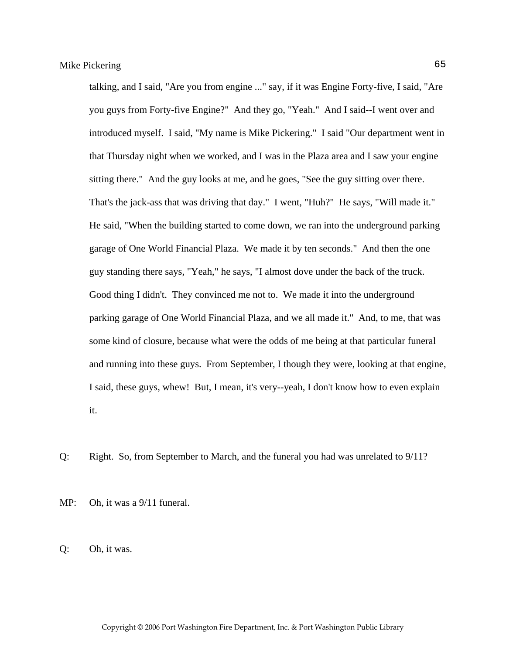talking, and I said, "Are you from engine ..." say, if it was Engine Forty-five, I said, "Are you guys from Forty-five Engine?" And they go, "Yeah." And I said--I went over and introduced myself. I said, "My name is Mike Pickering." I said "Our department went in that Thursday night when we worked, and I was in the Plaza area and I saw your engine sitting there." And the guy looks at me, and he goes, "See the guy sitting over there. That's the jack-ass that was driving that day." I went, "Huh?" He says, "Will made it." He said, "When the building started to come down, we ran into the underground parking garage of One World Financial Plaza. We made it by ten seconds." And then the one guy standing there says, "Yeah," he says, "I almost dove under the back of the truck. Good thing I didn't. They convinced me not to. We made it into the underground parking garage of One World Financial Plaza, and we all made it." And, to me, that was some kind of closure, because what were the odds of me being at that particular funeral and running into these guys. From September, I though they were, looking at that engine, I said, these guys, whew! But, I mean, it's very--yeah, I don't know how to even explain it.

Q: Right. So, from September to March, and the funeral you had was unrelated to 9/11?

MP: Oh, it was a  $9/11$  funeral.

Q: Oh, it was.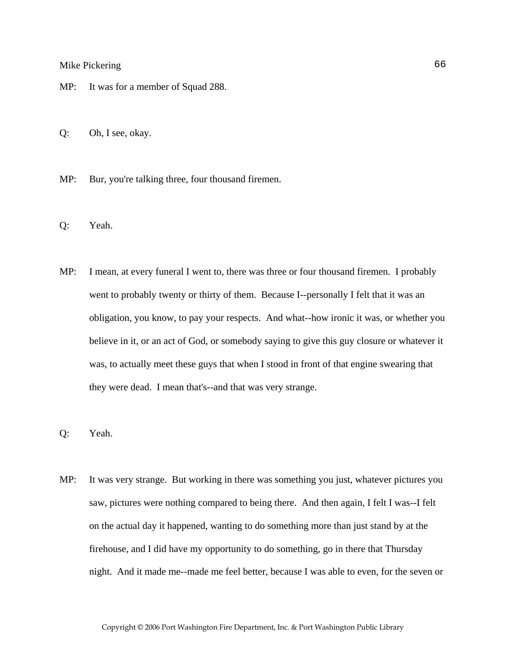- MP: It was for a member of Squad 288.
- Q: Oh, I see, okay.
- MP: Bur, you're talking three, four thousand firemen.
- Q: Yeah.
- MP: I mean, at every funeral I went to, there was three or four thousand firemen. I probably went to probably twenty or thirty of them. Because I--personally I felt that it was an obligation, you know, to pay your respects. And what--how ironic it was, or whether you believe in it, or an act of God, or somebody saying to give this guy closure or whatever it was, to actually meet these guys that when I stood in front of that engine swearing that they were dead. I mean that's--and that was very strange.
- Q: Yeah.
- MP: It was very strange. But working in there was something you just, whatever pictures you saw, pictures were nothing compared to being there. And then again, I felt I was--I felt on the actual day it happened, wanting to do something more than just stand by at the firehouse, and I did have my opportunity to do something, go in there that Thursday night. And it made me--made me feel better, because I was able to even, for the seven or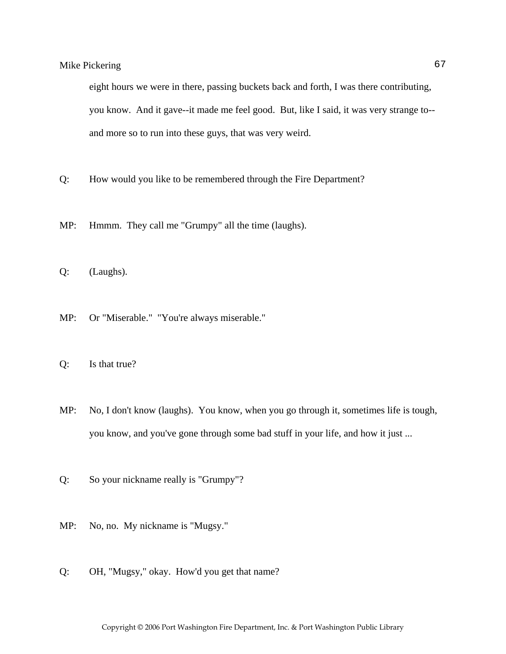eight hours we were in there, passing buckets back and forth, I was there contributing, you know. And it gave--it made me feel good. But, like I said, it was very strange to- and more so to run into these guys, that was very weird.

- Q: How would you like to be remembered through the Fire Department?
- MP: Hmmm. They call me "Grumpy" all the time (laughs).
- Q: (Laughs).
- MP: Or "Miserable." "You're always miserable."
- Q: Is that true?
- MP: No, I don't know (laughs). You know, when you go through it, sometimes life is tough, you know, and you've gone through some bad stuff in your life, and how it just ...
- Q: So your nickname really is "Grumpy"?
- MP: No, no. My nickname is "Mugsy."
- Q: OH, "Mugsy," okay. How'd you get that name?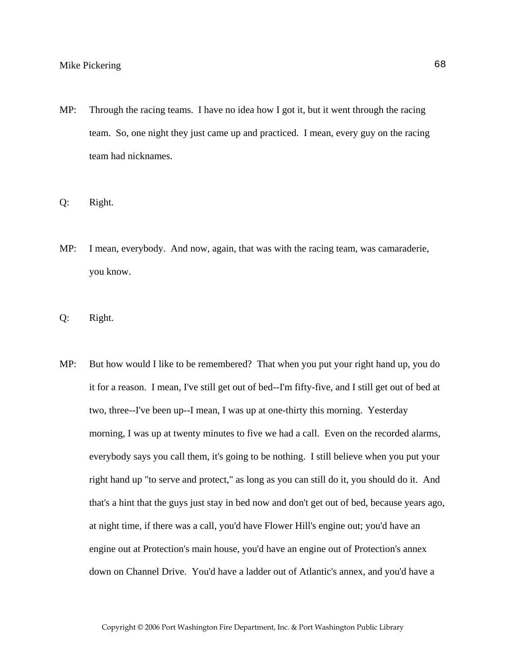- MP: Through the racing teams. I have no idea how I got it, but it went through the racing team. So, one night they just came up and practiced. I mean, every guy on the racing team had nicknames.
- Q: Right.
- MP: I mean, everybody. And now, again, that was with the racing team, was camaraderie, you know.
- Q: Right.
- MP: But how would I like to be remembered? That when you put your right hand up, you do it for a reason. I mean, I've still get out of bed--I'm fifty-five, and I still get out of bed at two, three--I've been up--I mean, I was up at one-thirty this morning. Yesterday morning, I was up at twenty minutes to five we had a call. Even on the recorded alarms, everybody says you call them, it's going to be nothing. I still believe when you put your right hand up "to serve and protect," as long as you can still do it, you should do it. And that's a hint that the guys just stay in bed now and don't get out of bed, because years ago, at night time, if there was a call, you'd have Flower Hill's engine out; you'd have an engine out at Protection's main house, you'd have an engine out of Protection's annex down on Channel Drive. You'd have a ladder out of Atlantic's annex, and you'd have a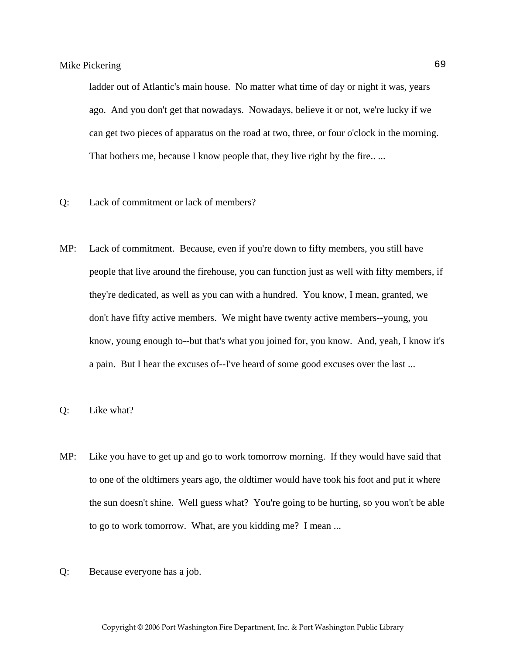ladder out of Atlantic's main house. No matter what time of day or night it was, years ago. And you don't get that nowadays. Nowadays, believe it or not, we're lucky if we can get two pieces of apparatus on the road at two, three, or four o'clock in the morning. That bothers me, because I know people that, they live right by the fire....

- Q: Lack of commitment or lack of members?
- MP: Lack of commitment. Because, even if you're down to fifty members, you still have people that live around the firehouse, you can function just as well with fifty members, if they're dedicated, as well as you can with a hundred. You know, I mean, granted, we don't have fifty active members. We might have twenty active members--young, you know, young enough to--but that's what you joined for, you know. And, yeah, I know it's a pain. But I hear the excuses of--I've heard of some good excuses over the last ...
- Q: Like what?
- MP: Like you have to get up and go to work tomorrow morning. If they would have said that to one of the oldtimers years ago, the oldtimer would have took his foot and put it where the sun doesn't shine. Well guess what? You're going to be hurting, so you won't be able to go to work tomorrow. What, are you kidding me? I mean ...
- Q: Because everyone has a job.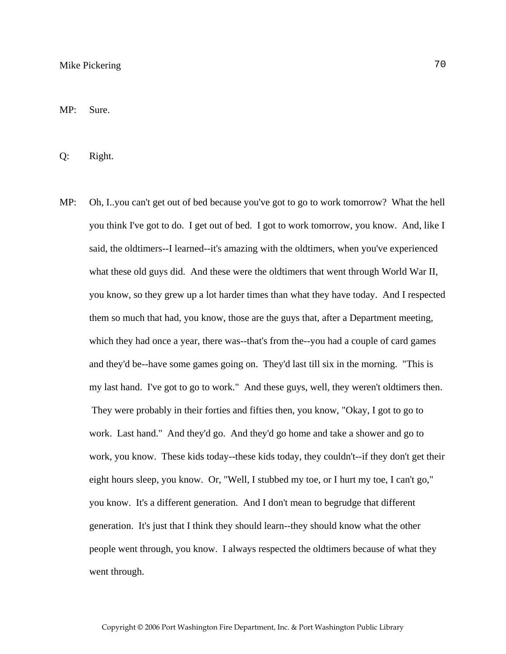MP: Sure.

Q: Right.

MP: Oh, I..you can't get out of bed because you've got to go to work tomorrow? What the hell you think I've got to do. I get out of bed. I got to work tomorrow, you know. And, like I said, the oldtimers--I learned--it's amazing with the oldtimers, when you've experienced what these old guys did. And these were the oldtimers that went through World War II, you know, so they grew up a lot harder times than what they have today. And I respected them so much that had, you know, those are the guys that, after a Department meeting, which they had once a year, there was--that's from the--you had a couple of card games and they'd be--have some games going on. They'd last till six in the morning. "This is my last hand. I've got to go to work." And these guys, well, they weren't oldtimers then. They were probably in their forties and fifties then, you know, "Okay, I got to go to work. Last hand." And they'd go. And they'd go home and take a shower and go to work, you know. These kids today--these kids today, they couldn't--if they don't get their eight hours sleep, you know. Or, "Well, I stubbed my toe, or I hurt my toe, I can't go," you know. It's a different generation. And I don't mean to begrudge that different generation. It's just that I think they should learn--they should know what the other people went through, you know. I always respected the oldtimers because of what they went through.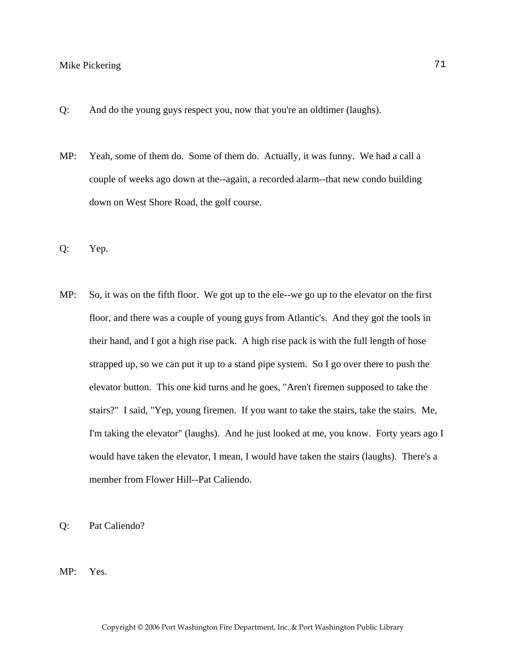- Q: And do the young guys respect you, now that you're an oldtimer (laughs).
- MP: Yeah, some of them do. Some of them do. Actually, it was funny. We had a call a couple of weeks ago down at the--again, a recorded alarm--that new condo building down on West Shore Road, the golf course.
- Q: Yep.
- MP: So, it was on the fifth floor. We got up to the ele--we go up to the elevator on the first floor, and there was a couple of young guys from Atlantic's. And they got the tools in their hand, and I got a high rise pack. A high rise pack is with the full length of hose strapped up, so we can put it up to a stand pipe system. So I go over there to push the elevator button. This one kid turns and he goes, "Aren't firemen supposed to take the stairs?" I said, "Yep, young firemen. If you want to take the stairs, take the stairs. Me, I'm taking the elevator" (laughs). And he just looked at me, you know. Forty years ago I would have taken the elevator, I mean, I would have taken the stairs (laughs). There's a member from Flower Hill--Pat Caliendo.
- Q: Pat Caliendo?
- MP: Yes.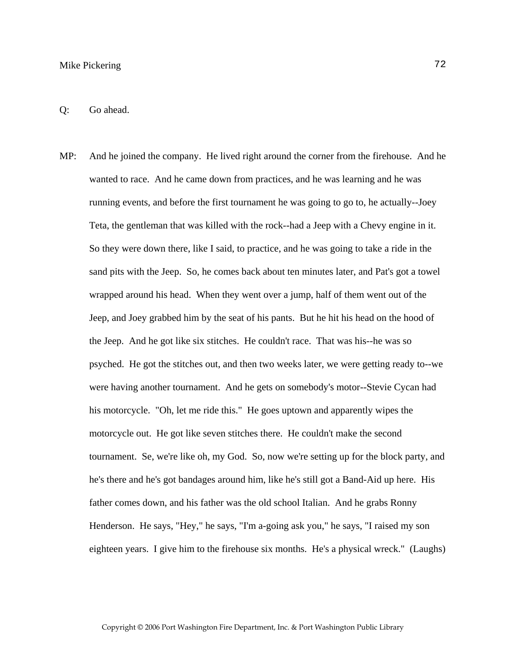## Mike Pickering 72

MP: And he joined the company. He lived right around the corner from the firehouse. And he wanted to race. And he came down from practices, and he was learning and he was running events, and before the first tournament he was going to go to, he actually--Joey Teta, the gentleman that was killed with the rock--had a Jeep with a Chevy engine in it. So they were down there, like I said, to practice, and he was going to take a ride in the sand pits with the Jeep. So, he comes back about ten minutes later, and Pat's got a towel wrapped around his head. When they went over a jump, half of them went out of the Jeep, and Joey grabbed him by the seat of his pants. But he hit his head on the hood of the Jeep. And he got like six stitches. He couldn't race. That was his--he was so psyched. He got the stitches out, and then two weeks later, we were getting ready to--we were having another tournament. And he gets on somebody's motor--Stevie Cycan had his motorcycle. "Oh, let me ride this." He goes uptown and apparently wipes the motorcycle out. He got like seven stitches there. He couldn't make the second tournament. Se, we're like oh, my God. So, now we're setting up for the block party, and he's there and he's got bandages around him, like he's still got a Band-Aid up here. His father comes down, and his father was the old school Italian. And he grabs Ronny Henderson. He says, "Hey," he says, "I'm a-going ask you," he says, "I raised my son eighteen years. I give him to the firehouse six months. He's a physical wreck." (Laughs)